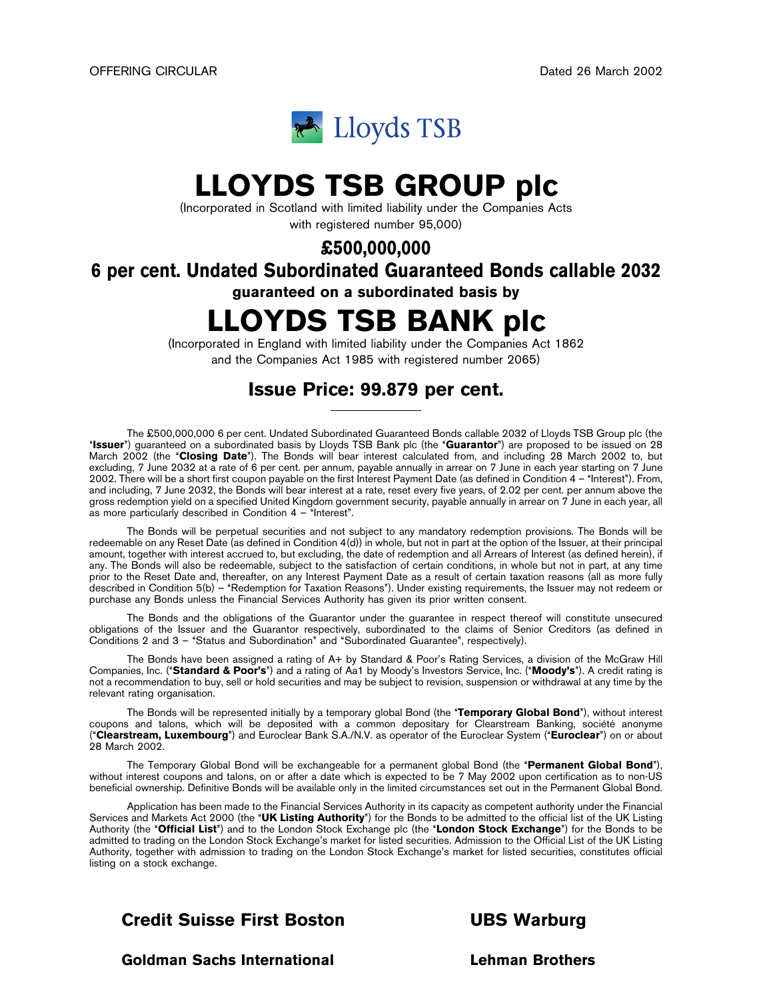

# LLOYDS TSB GROUP plc

(Incorporated in Scotland with limited liability under the Companies Acts

with registered number 95,000)

# £500,000,000

6 per cent. Undated Subordinated Guaranteed Bonds callable 2032

guaranteed on a subordinated basis by

# LLOYDS TSB BANK plc

(Incorporated in England with limited liability under the Companies Act 1862 and the Companies Act 1985 with registered number 2065)

# Issue Price: 99.879 per cent.

The £500,000,000 6 per cent. Undated Subordinated Guaranteed Bonds callable 2032 of Lloyds TSB Group plc (the "Issuer") guaranteed on a subordinated basis by Lloyds TSB Bank plc (the "Guarantor") are proposed to be issued on 28 March 2002 (the "Closing Date"). The Bonds will bear interest calculated from, and including 28 March 2002 to, but excluding, 7 June 2032 at a rate of 6 per cent. per annum, payable annually in arrear on 7 June in each year starting on 7 June 2002. There will be a short first coupon payable on the first Interest Payment Date (as defined in Condition 4 – ''Interest''). From, and including, 7 June 2032, the Bonds will bear interest at a rate, reset every five years, of 2.02 per cent. per annum above the gross redemption yield on a specified United Kingdom government security, payable annually in arrear on 7 June in each year, all as more particularly described in Condition 4 – ''Interest''.

The Bonds will be perpetual securities and not subject to any mandatory redemption provisions. The Bonds will be redeemable on any Reset Date (as defined in Condition 4(d)) in whole, but not in part at the option of the Issuer, at their principal amount, together with interest accrued to, but excluding, the date of redemption and all Arrears of Interest (as defined herein), if any. The Bonds will also be redeemable, subject to the satisfaction of certain conditions, in whole but not in part, at any time prior to the Reset Date and, thereafter, on any Interest Payment Date as a result of certain taxation reasons (all as more fully described in Condition 5(b) – ''Redemption for Taxation Reasons''). Under existing requirements, the Issuer may not redeem or purchase any Bonds unless the Financial Services Authority has given its prior written consent.

The Bonds and the obligations of the Guarantor under the guarantee in respect thereof will constitute unsecured obligations of the Issuer and the Guarantor respectively, subordinated to the claims of Senior Creditors (as defined in Conditions 2 and 3 – ''Status and Subordination'' and ''Subordinated Guarantee'', respectively).

The Bonds have been assigned a rating of A+ by Standard & Poor's Rating Services, a division of the McGraw Hill Companies, Inc. ("Standard & Poor's") and a rating of Aa1 by Moody's Investors Service, Inc. ("Moody's"). A credit rating is not a recommendation to buy, sell or hold securities and may be subject to revision, suspension or withdrawal at any time by the relevant rating organisation.

The Bonds will be represented initially by a temporary global Bond (the "Temporary Global Bond"), without interest coupons and talons, which will be deposited with a common depositary for Clearstream Banking, societe anonyme ("Clearstream, Luxembourg") and Euroclear Bank S.A./N.V. as operator of the Euroclear System ("Euroclear") on or about 28 March 2002.

The Temporary Global Bond will be exchangeable for a permanent global Bond (the "Permanent Global Bond"), without interest coupons and talons, on or after a date which is expected to be 7 May 2002 upon certification as to non-US beneficial ownership. Definitive Bonds will be available only in the limited circumstances set out in the Permanent Global Bond.

Application has been made to the Financial Services Authority in its capacity as competent authority under the Financial Services and Markets Act 2000 (the "UK Listing Authority") for the Bonds to be admitted to the official list of the UK Listing Authority (the "Official List") and to the London Stock Exchange plc (the "London Stock Exchange") for the Bonds to be admitted to trading on the London Stock Exchange's market for listed securities. Admission to the Official List of the UK Listing Authority, together with admission to trading on the London Stock Exchange's market for listed securities, constitutes official listing on a stock exchange.



Goldman Sachs International Lehman Brothers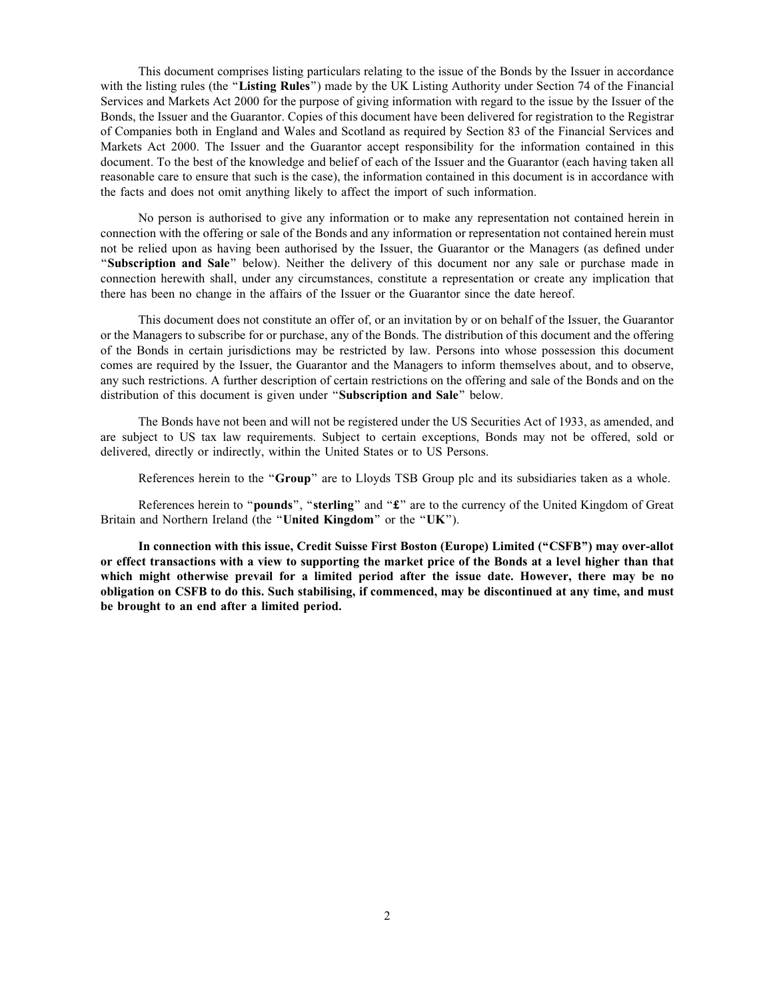This document comprises listing particulars relating to the issue of the Bonds by the Issuer in accordance with the listing rules (the "Listing Rules") made by the UK Listing Authority under Section 74 of the Financial Services and Markets Act 2000 for the purpose of giving information with regard to the issue by the Issuer of the Bonds, the Issuer and the Guarantor. Copies of this document have been delivered for registration to the Registrar of Companies both in England and Wales and Scotland as required by Section 83 of the Financial Services and Markets Act 2000. The Issuer and the Guarantor accept responsibility for the information contained in this document. To the best of the knowledge and belief of each of the Issuer and the Guarantor (each having taken all reasonable care to ensure that such is the case), the information contained in this document is in accordance with the facts and does not omit anything likely to affect the import of such information.

No person is authorised to give any information or to make any representation not contained herein in connection with the offering or sale of the Bonds and any information or representation not contained herein must not be relied upon as having been authorised by the Issuer, the Guarantor or the Managers (as defined under ''Subscription and Sale'' below). Neither the delivery of this document nor any sale or purchase made in connection herewith shall, under any circumstances, constitute a representation or create any implication that there has been no change in the affairs of the Issuer or the Guarantor since the date hereof.

This document does not constitute an offer of, or an invitation by or on behalf of the Issuer, the Guarantor or the Managers to subscribe for or purchase, any of the Bonds. The distribution of this document and the offering of the Bonds in certain jurisdictions may be restricted by law. Persons into whose possession this document comes are required by the Issuer, the Guarantor and the Managers to inform themselves about, and to observe, any such restrictions. A further description of certain restrictions on the offering and sale of the Bonds and on the distribution of this document is given under "Subscription and Sale" below.

The Bonds have not been and will not be registered under the US Securities Act of 1933, as amended, and are subject to US tax law requirements. Subject to certain exceptions, Bonds may not be offered, sold or delivered, directly or indirectly, within the United States or to US Persons.

References herein to the "Group" are to Lloyds TSB Group plc and its subsidiaries taken as a whole.

References herein to "pounds", "sterling" and "£" are to the currency of the United Kingdom of Great Britain and Northern Ireland (the "United Kingdom" or the "UK").

In connection with this issue, Credit Suisse First Boston (Europe) Limited (''CSFB'') may over-allot or effect transactions with a view to supporting the market price of the Bonds at a level higher than that which might otherwise prevail for a limited period after the issue date. However, there may be no obligation on CSFB to do this. Such stabilising, if commenced, may be discontinued at any time, and must be brought to an end after a limited period.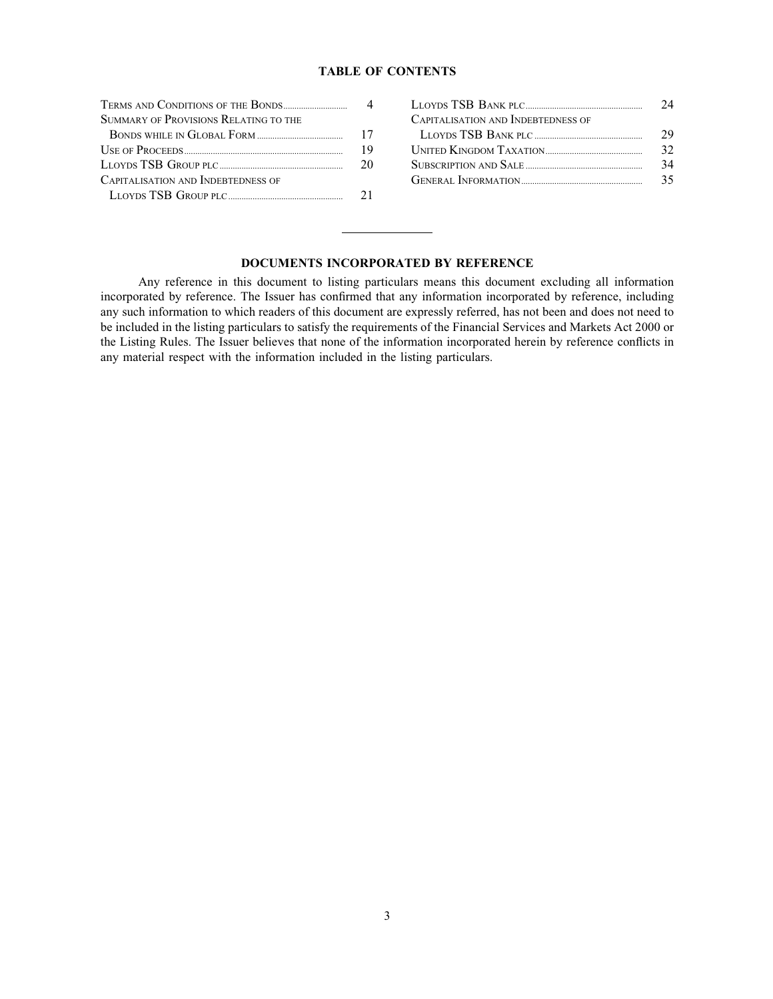# TABLE OF CONTENTS

|                                       |    |                                    | 24   |
|---------------------------------------|----|------------------------------------|------|
| SUMMARY OF PROVISIONS RELATING TO THE |    | CAPITALISATION AND INDEBTEDNESS OF |      |
|                                       |    |                                    | - 29 |
|                                       | 19 |                                    | 32   |
|                                       | 20 |                                    | 34   |
| CAPITALISATION AND INDEBTEDNESS OF    |    |                                    |      |
|                                       |    |                                    |      |
|                                       |    |                                    |      |

# DOCUMENTS INCORPORATED BY REFERENCE

Any reference in this document to listing particulars means this document excluding all information incorporated by reference. The Issuer has confirmed that any information incorporated by reference, including any such information to which readers of this document are expressly referred, has not been and does not need to be included in the listing particulars to satisfy the requirements of the Financial Services and Markets Act 2000 or the Listing Rules. The Issuer believes that none of the information incorporated herein by reference conflicts in any material respect with the information included in the listing particulars.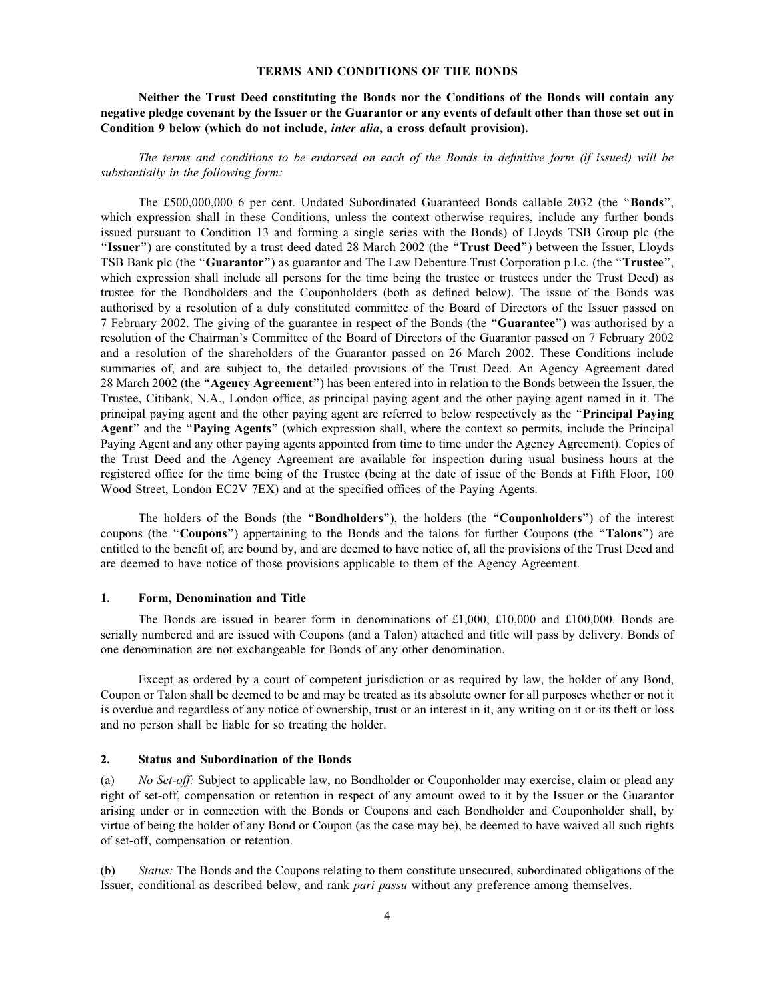# TERMS AND CONDITIONS OF THE BONDS

Neither the Trust Deed constituting the Bonds nor the Conditions of the Bonds will contain any negative pledge covenant by the Issuer or the Guarantor or any events of default other than those set out in Condition 9 below (which do not include, inter alia, a cross default provision).

The terms and conditions to be endorsed on each of the Bonds in definitive form (if issued) will be substantially in the following form:

The £500,000,000 6 per cent. Undated Subordinated Guaranteed Bonds callable 2032 (the ''Bonds'', which expression shall in these Conditions, unless the context otherwise requires, include any further bonds issued pursuant to Condition 13 and forming a single series with the Bonds) of Lloyds TSB Group plc (the ''Issuer'') are constituted by a trust deed dated 28 March 2002 (the ''Trust Deed'') between the Issuer, Lloyds TSB Bank plc (the "Guarantor") as guarantor and The Law Debenture Trust Corporation p.l.c. (the "Trustee", which expression shall include all persons for the time being the trustee or trustees under the Trust Deed) as trustee for the Bondholders and the Couponholders (both as defined below). The issue of the Bonds was authorised by a resolution of a duly constituted committee of the Board of Directors of the Issuer passed on 7 February 2002. The giving of the guarantee in respect of the Bonds (the ''Guarantee'') was authorised by a resolution of the Chairman's Committee of the Board of Directors of the Guarantor passed on 7 February 2002 and a resolution of the shareholders of the Guarantor passed on 26 March 2002. These Conditions include summaries of, and are subject to, the detailed provisions of the Trust Deed. An Agency Agreement dated 28 March 2002 (the "Agency Agreement") has been entered into in relation to the Bonds between the Issuer, the Trustee, Citibank, N.A., London office, as principal paying agent and the other paying agent named in it. The principal paying agent and the other paying agent are referred to below respectively as the ''Principal Paying Agent" and the "Paying Agents" (which expression shall, where the context so permits, include the Principal Paying Agent and any other paying agents appointed from time to time under the Agency Agreement). Copies of the Trust Deed and the Agency Agreement are available for inspection during usual business hours at the registered office for the time being of the Trustee (being at the date of issue of the Bonds at Fifth Floor, 100 Wood Street, London EC2V 7EX) and at the specified offices of the Paying Agents.

The holders of the Bonds (the "Bondholders"), the holders (the "Couponholders") of the interest coupons (the "Coupons") appertaining to the Bonds and the talons for further Coupons (the "Talons") are entitled to the benefit of, are bound by, and are deemed to have notice of, all the provisions of the Trust Deed and are deemed to have notice of those provisions applicable to them of the Agency Agreement.

#### 1. Form, Denomination and Title

The Bonds are issued in bearer form in denominations of £1,000, £10,000 and £100,000. Bonds are serially numbered and are issued with Coupons (and a Talon) attached and title will pass by delivery. Bonds of one denomination are not exchangeable for Bonds of any other denomination.

Except as ordered by a court of competent jurisdiction or as required by law, the holder of any Bond, Coupon or Talon shall be deemed to be and may be treated as its absolute owner for all purposes whether or not it is overdue and regardless of any notice of ownership, trust or an interest in it, any writing on it or its theft or loss and no person shall be liable for so treating the holder.

#### 2. Status and Subordination of the Bonds

(a) No Set-off: Subject to applicable law, no Bondholder or Couponholder may exercise, claim or plead any right of set-off, compensation or retention in respect of any amount owed to it by the Issuer or the Guarantor arising under or in connection with the Bonds or Coupons and each Bondholder and Couponholder shall, by virtue of being the holder of any Bond or Coupon (as the case may be), be deemed to have waived all such rights of set-off, compensation or retention.

(b) Status: The Bonds and the Coupons relating to them constitute unsecured, subordinated obligations of the Issuer, conditional as described below, and rank *pari passu* without any preference among themselves.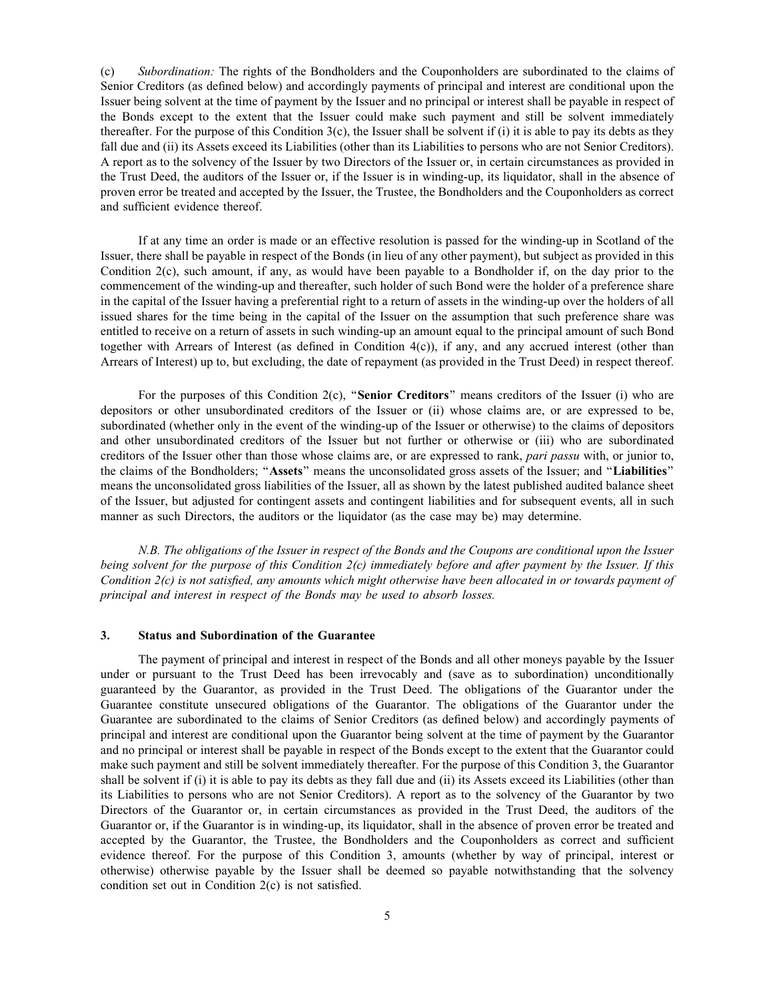(c) Subordination: The rights of the Bondholders and the Couponholders are subordinated to the claims of Senior Creditors (as defined below) and accordingly payments of principal and interest are conditional upon the Issuer being solvent at the time of payment by the Issuer and no principal or interest shall be payable in respect of the Bonds except to the extent that the Issuer could make such payment and still be solvent immediately thereafter. For the purpose of this Condition 3(c), the Issuer shall be solvent if (i) it is able to pay its debts as they fall due and (ii) its Assets exceed its Liabilities (other than its Liabilities to persons who are not Senior Creditors). A report as to the solvency of the Issuer by two Directors of the Issuer or, in certain circumstances as provided in the Trust Deed, the auditors of the Issuer or, if the Issuer is in winding-up, its liquidator, shall in the absence of proven error be treated and accepted by the Issuer, the Trustee, the Bondholders and the Couponholders as correct and sufficient evidence thereof.

If at any time an order is made or an effective resolution is passed for the winding-up in Scotland of the Issuer, there shall be payable in respect of the Bonds (in lieu of any other payment), but subject as provided in this Condition 2(c), such amount, if any, as would have been payable to a Bondholder if, on the day prior to the commencement of the winding-up and thereafter, such holder of such Bond were the holder of a preference share in the capital of the Issuer having a preferential right to a return of assets in the winding-up over the holders of all issued shares for the time being in the capital of the Issuer on the assumption that such preference share was entitled to receive on a return of assets in such winding-up an amount equal to the principal amount of such Bond together with Arrears of Interest (as defined in Condition  $4(c)$ ), if any, and any accrued interest (other than Arrears of Interest) up to, but excluding, the date of repayment (as provided in the Trust Deed) in respect thereof.

For the purposes of this Condition  $2(c)$ , "Senior Creditors" means creditors of the Issuer (i) who are depositors or other unsubordinated creditors of the Issuer or (ii) whose claims are, or are expressed to be, subordinated (whether only in the event of the winding-up of the Issuer or otherwise) to the claims of depositors and other unsubordinated creditors of the Issuer but not further or otherwise or (iii) who are subordinated creditors of the Issuer other than those whose claims are, or are expressed to rank, pari passu with, or junior to, the claims of the Bondholders; "Assets" means the unconsolidated gross assets of the Issuer; and "Liabilities" means the unconsolidated gross liabilities of the Issuer, all as shown by the latest published audited balance sheet of the Issuer, but adjusted for contingent assets and contingent liabilities and for subsequent events, all in such manner as such Directors, the auditors or the liquidator (as the case may be) may determine.

N.B. The obligations of the Issuer in respect of the Bonds and the Coupons are conditional upon the Issuer being solvent for the purpose of this Condition 2(c) immediately before and after payment by the Issuer. If this Condition 2(c) is not satisfied, any amounts which might otherwise have been allocated in or towards payment of principal and interest in respect of the Bonds may be used to absorb losses.

#### 3. Status and Subordination of the Guarantee

The payment of principal and interest in respect of the Bonds and all other moneys payable by the Issuer under or pursuant to the Trust Deed has been irrevocably and (save as to subordination) unconditionally guaranteed by the Guarantor, as provided in the Trust Deed. The obligations of the Guarantor under the Guarantee constitute unsecured obligations of the Guarantor. The obligations of the Guarantor under the Guarantee are subordinated to the claims of Senior Creditors (as defined below) and accordingly payments of principal and interest are conditional upon the Guarantor being solvent at the time of payment by the Guarantor and no principal or interest shall be payable in respect of the Bonds except to the extent that the Guarantor could make such payment and still be solvent immediately thereafter. For the purpose of this Condition 3, the Guarantor shall be solvent if (i) it is able to pay its debts as they fall due and (ii) its Assets exceed its Liabilities (other than its Liabilities to persons who are not Senior Creditors). A report as to the solvency of the Guarantor by two Directors of the Guarantor or, in certain circumstances as provided in the Trust Deed, the auditors of the Guarantor or, if the Guarantor is in winding-up, its liquidator, shall in the absence of proven error be treated and accepted by the Guarantor, the Trustee, the Bondholders and the Couponholders as correct and sufficient evidence thereof. For the purpose of this Condition 3, amounts (whether by way of principal, interest or otherwise) otherwise payable by the Issuer shall be deemed so payable notwithstanding that the solvency condition set out in Condition 2(c) is not satisfied.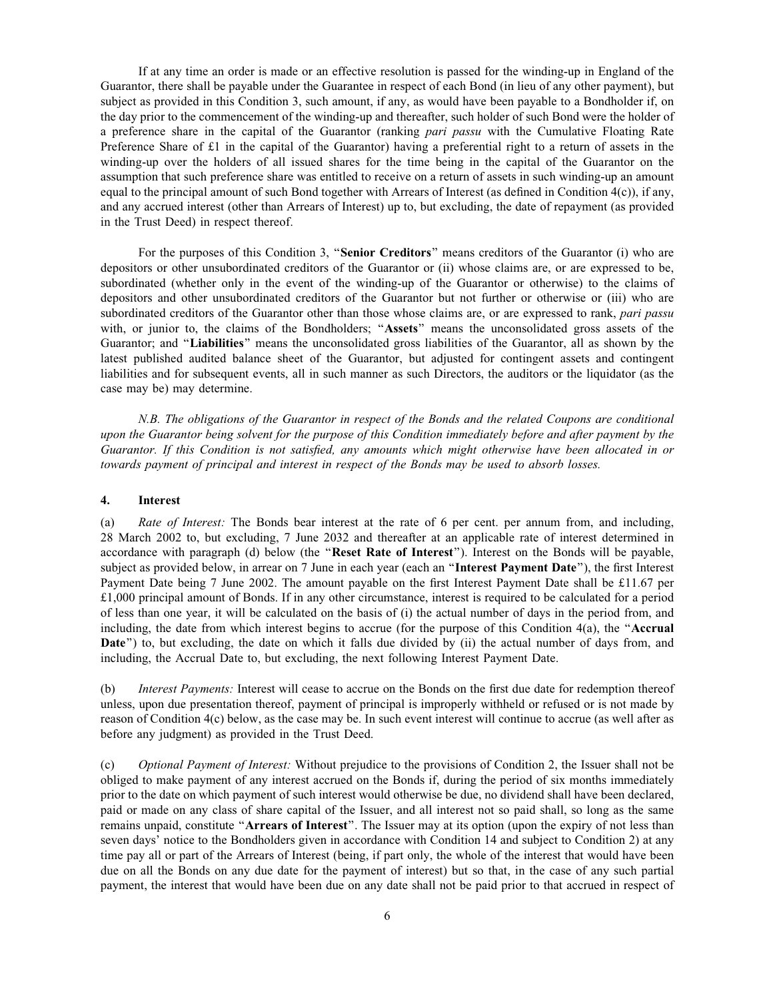If at any time an order is made or an effective resolution is passed for the winding-up in England of the Guarantor, there shall be payable under the Guarantee in respect of each Bond (in lieu of any other payment), but subject as provided in this Condition 3, such amount, if any, as would have been payable to a Bondholder if, on the day prior to the commencement of the winding-up and thereafter, such holder of such Bond were the holder of a preference share in the capital of the Guarantor (ranking pari passu with the Cumulative Floating Rate Preference Share of £1 in the capital of the Guarantor) having a preferential right to a return of assets in the winding-up over the holders of all issued shares for the time being in the capital of the Guarantor on the assumption that such preference share was entitled to receive on a return of assets in such winding-up an amount equal to the principal amount of such Bond together with Arrears of Interest (as defined in Condition  $4(c)$ ), if any, and any accrued interest (other than Arrears of Interest) up to, but excluding, the date of repayment (as provided in the Trust Deed) in respect thereof.

For the purposes of this Condition 3, "Senior Creditors" means creditors of the Guarantor (i) who are depositors or other unsubordinated creditors of the Guarantor or (ii) whose claims are, or are expressed to be, subordinated (whether only in the event of the winding-up of the Guarantor or otherwise) to the claims of depositors and other unsubordinated creditors of the Guarantor but not further or otherwise or (iii) who are subordinated creditors of the Guarantor other than those whose claims are, or are expressed to rank, pari passu with, or junior to, the claims of the Bondholders; "Assets" means the unconsolidated gross assets of the Guarantor; and "Liabilities" means the unconsolidated gross liabilities of the Guarantor, all as shown by the latest published audited balance sheet of the Guarantor, but adjusted for contingent assets and contingent liabilities and for subsequent events, all in such manner as such Directors, the auditors or the liquidator (as the case may be) may determine.

N.B. The obligations of the Guarantor in respect of the Bonds and the related Coupons are conditional upon the Guarantor being solvent for the purpose of this Condition immediately before and after payment by the Guarantor. If this Condition is not satisfied, any amounts which might otherwise have been allocated in or towards payment of principal and interest in respect of the Bonds may be used to absorb losses.

# 4. Interest

(a) Rate of Interest: The Bonds bear interest at the rate of 6 per cent. per annum from, and including, 28 March 2002 to, but excluding, 7 June 2032 and thereafter at an applicable rate of interest determined in accordance with paragraph (d) below (the "Reset Rate of Interest"). Interest on the Bonds will be payable, subject as provided below, in arrear on 7 June in each year (each an "Interest Payment Date"), the first Interest Payment Date being 7 June 2002. The amount payable on the first Interest Payment Date shall be £11.67 per £1,000 principal amount of Bonds. If in any other circumstance, interest is required to be calculated for a period of less than one year, it will be calculated on the basis of (i) the actual number of days in the period from, and including, the date from which interest begins to accrue (for the purpose of this Condition 4(a), the ''Accrual Date'') to, but excluding, the date on which it falls due divided by (ii) the actual number of days from, and including, the Accrual Date to, but excluding, the next following Interest Payment Date.

(b) Interest Payments: Interest will cease to accrue on the Bonds on the first due date for redemption thereof unless, upon due presentation thereof, payment of principal is improperly withheld or refused or is not made by reason of Condition 4(c) below, as the case may be. In such event interest will continue to accrue (as well after as before any judgment) as provided in the Trust Deed.

(c) Optional Payment of Interest: Without prejudice to the provisions of Condition 2, the Issuer shall not be obliged to make payment of any interest accrued on the Bonds if, during the period of six months immediately prior to the date on which payment of such interest would otherwise be due, no dividend shall have been declared, paid or made on any class of share capital of the Issuer, and all interest not so paid shall, so long as the same remains unpaid, constitute "Arrears of Interest". The Issuer may at its option (upon the expiry of not less than seven days' notice to the Bondholders given in accordance with Condition 14 and subject to Condition 2) at any time pay all or part of the Arrears of Interest (being, if part only, the whole of the interest that would have been due on all the Bonds on any due date for the payment of interest) but so that, in the case of any such partial payment, the interest that would have been due on any date shall not be paid prior to that accrued in respect of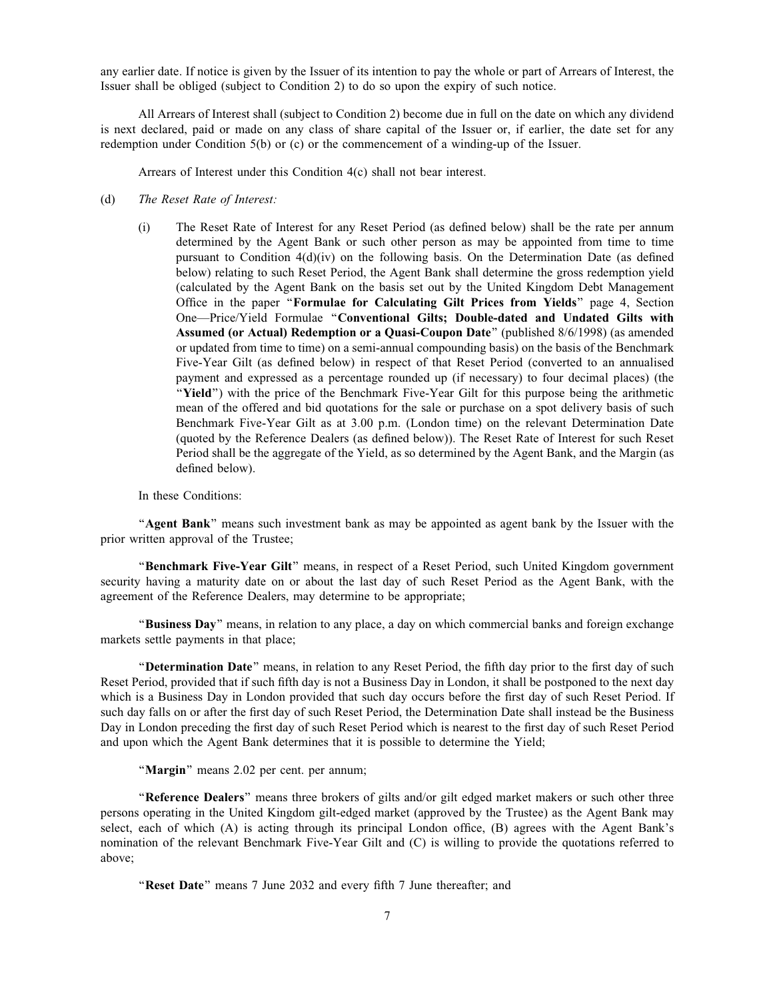any earlier date. If notice is given by the Issuer of its intention to pay the whole or part of Arrears of Interest, the Issuer shall be obliged (subject to Condition 2) to do so upon the expiry of such notice.

All Arrears of Interest shall (subject to Condition 2) become due in full on the date on which any dividend is next declared, paid or made on any class of share capital of the Issuer or, if earlier, the date set for any redemption under Condition 5(b) or (c) or the commencement of a winding-up of the Issuer.

Arrears of Interest under this Condition 4(c) shall not bear interest.

- (d) The Reset Rate of Interest:
	- (i) The Reset Rate of Interest for any Reset Period (as defined below) shall be the rate per annum determined by the Agent Bank or such other person as may be appointed from time to time pursuant to Condition 4(d)(iv) on the following basis. On the Determination Date (as defined below) relating to such Reset Period, the Agent Bank shall determine the gross redemption yield (calculated by the Agent Bank on the basis set out by the United Kingdom Debt Management Office in the paper ''Formulae for Calculating Gilt Prices from Yields'' page 4, Section One—Price/Yield Formulae ''Conventional Gilts; Double-dated and Undated Gilts with Assumed (or Actual) Redemption or a Quasi-Coupon Date'' (published 8/6/1998) (as amended or updated from time to time) on a semi-annual compounding basis) on the basis of the Benchmark Five-Year Gilt (as defined below) in respect of that Reset Period (converted to an annualised payment and expressed as a percentage rounded up (if necessary) to four decimal places) (the ''Yield'') with the price of the Benchmark Five-Year Gilt for this purpose being the arithmetic mean of the offered and bid quotations for the sale or purchase on a spot delivery basis of such Benchmark Five-Year Gilt as at 3.00 p.m. (London time) on the relevant Determination Date (quoted by the Reference Dealers (as defined below)). The Reset Rate of Interest for such Reset Period shall be the aggregate of the Yield, as so determined by the Agent Bank, and the Margin (as defined below).

In these Conditions:

"Agent Bank" means such investment bank as may be appointed as agent bank by the Issuer with the prior written approval of the Trustee;

"Benchmark Five-Year Gilt" means, in respect of a Reset Period, such United Kingdom government security having a maturity date on or about the last day of such Reset Period as the Agent Bank, with the agreement of the Reference Dealers, may determine to be appropriate;

"Business Day" means, in relation to any place, a day on which commercial banks and foreign exchange markets settle payments in that place;

"Determination Date" means, in relation to any Reset Period, the fifth day prior to the first day of such Reset Period, provided that if such fifth day is not a Business Day in London, it shall be postponed to the next day which is a Business Day in London provided that such day occurs before the first day of such Reset Period. If such day falls on or after the first day of such Reset Period, the Determination Date shall instead be the Business Day in London preceding the first day of such Reset Period which is nearest to the first day of such Reset Period and upon which the Agent Bank determines that it is possible to determine the Yield;

"Margin" means 2.02 per cent. per annum;

"Reference Dealers" means three brokers of gilts and/or gilt edged market makers or such other three persons operating in the United Kingdom gilt-edged market (approved by the Trustee) as the Agent Bank may select, each of which (A) is acting through its principal London office, (B) agrees with the Agent Bank's nomination of the relevant Benchmark Five-Year Gilt and (C) is willing to provide the quotations referred to above;

"Reset Date" means 7 June 2032 and every fifth 7 June thereafter; and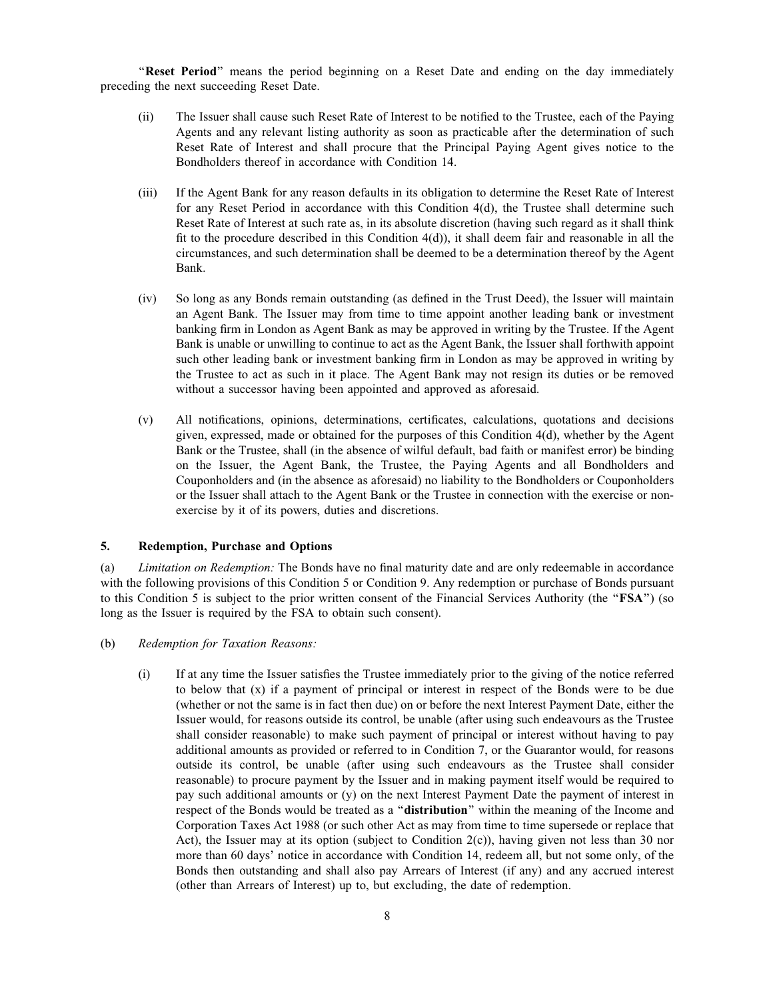"Reset Period" means the period beginning on a Reset Date and ending on the day immediately preceding the next succeeding Reset Date.

- (ii) The Issuer shall cause such Reset Rate of Interest to be notified to the Trustee, each of the Paying Agents and any relevant listing authority as soon as practicable after the determination of such Reset Rate of Interest and shall procure that the Principal Paying Agent gives notice to the Bondholders thereof in accordance with Condition 14.
- (iii) If the Agent Bank for any reason defaults in its obligation to determine the Reset Rate of Interest for any Reset Period in accordance with this Condition 4(d), the Trustee shall determine such Reset Rate of Interest at such rate as, in its absolute discretion (having such regard as it shall think fit to the procedure described in this Condition  $4(d)$ , it shall deem fair and reasonable in all the circumstances, and such determination shall be deemed to be a determination thereof by the Agent Bank.
- (iv) So long as any Bonds remain outstanding (as defined in the Trust Deed), the Issuer will maintain an Agent Bank. The Issuer may from time to time appoint another leading bank or investment banking firm in London as Agent Bank as may be approved in writing by the Trustee. If the Agent Bank is unable or unwilling to continue to act as the Agent Bank, the Issuer shall forthwith appoint such other leading bank or investment banking firm in London as may be approved in writing by the Trustee to act as such in it place. The Agent Bank may not resign its duties or be removed without a successor having been appointed and approved as aforesaid.
- (v) All notifications, opinions, determinations, certificates, calculations, quotations and decisions given, expressed, made or obtained for the purposes of this Condition 4(d), whether by the Agent Bank or the Trustee, shall (in the absence of wilful default, bad faith or manifest error) be binding on the Issuer, the Agent Bank, the Trustee, the Paying Agents and all Bondholders and Couponholders and (in the absence as aforesaid) no liability to the Bondholders or Couponholders or the Issuer shall attach to the Agent Bank or the Trustee in connection with the exercise or nonexercise by it of its powers, duties and discretions.

#### 5. Redemption, Purchase and Options

(a) Limitation on Redemption: The Bonds have no final maturity date and are only redeemable in accordance with the following provisions of this Condition 5 or Condition 9. Any redemption or purchase of Bonds pursuant to this Condition 5 is subject to the prior written consent of the Financial Services Authority (the "FSA") (so long as the Issuer is required by the FSA to obtain such consent).

- (b) Redemption for Taxation Reasons:
	- (i) If at any time the Issuer satisfies the Trustee immediately prior to the giving of the notice referred to below that (x) if a payment of principal or interest in respect of the Bonds were to be due (whether or not the same is in fact then due) on or before the next Interest Payment Date, either the Issuer would, for reasons outside its control, be unable (after using such endeavours as the Trustee shall consider reasonable) to make such payment of principal or interest without having to pay additional amounts as provided or referred to in Condition 7, or the Guarantor would, for reasons outside its control, be unable (after using such endeavours as the Trustee shall consider reasonable) to procure payment by the Issuer and in making payment itself would be required to pay such additional amounts or (y) on the next Interest Payment Date the payment of interest in respect of the Bonds would be treated as a "distribution" within the meaning of the Income and Corporation Taxes Act 1988 (or such other Act as may from time to time supersede or replace that Act), the Issuer may at its option (subject to Condition  $2(c)$ ), having given not less than 30 nor more than 60 days' notice in accordance with Condition 14, redeem all, but not some only, of the Bonds then outstanding and shall also pay Arrears of Interest (if any) and any accrued interest (other than Arrears of Interest) up to, but excluding, the date of redemption.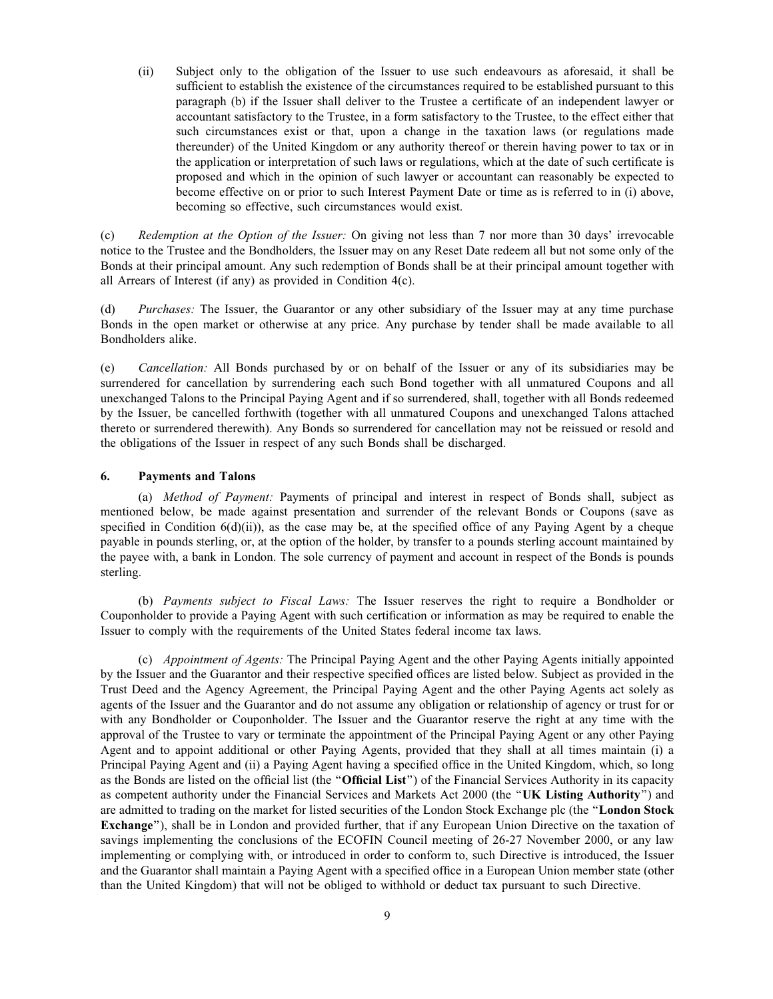(ii) Subject only to the obligation of the Issuer to use such endeavours as aforesaid, it shall be sufficient to establish the existence of the circumstances required to be established pursuant to this paragraph (b) if the Issuer shall deliver to the Trustee a certificate of an independent lawyer or accountant satisfactory to the Trustee, in a form satisfactory to the Trustee, to the effect either that such circumstances exist or that, upon a change in the taxation laws (or regulations made thereunder) of the United Kingdom or any authority thereof or therein having power to tax or in the application or interpretation of such laws or regulations, which at the date of such certificate is proposed and which in the opinion of such lawyer or accountant can reasonably be expected to become effective on or prior to such Interest Payment Date or time as is referred to in (i) above, becoming so effective, such circumstances would exist.

(c) Redemption at the Option of the Issuer: On giving not less than 7 nor more than 30 days' irrevocable notice to the Trustee and the Bondholders, the Issuer may on any Reset Date redeem all but not some only of the Bonds at their principal amount. Any such redemption of Bonds shall be at their principal amount together with all Arrears of Interest (if any) as provided in Condition 4(c).

(d) Purchases: The Issuer, the Guarantor or any other subsidiary of the Issuer may at any time purchase Bonds in the open market or otherwise at any price. Any purchase by tender shall be made available to all Bondholders alike.

(e) Cancellation: All Bonds purchased by or on behalf of the Issuer or any of its subsidiaries may be surrendered for cancellation by surrendering each such Bond together with all unmatured Coupons and all unexchanged Talons to the Principal Paying Agent and if so surrendered, shall, together with all Bonds redeemed by the Issuer, be cancelled forthwith (together with all unmatured Coupons and unexchanged Talons attached thereto or surrendered therewith). Any Bonds so surrendered for cancellation may not be reissued or resold and the obligations of the Issuer in respect of any such Bonds shall be discharged.

#### 6. Payments and Talons

(a) Method of Payment: Payments of principal and interest in respect of Bonds shall, subject as mentioned below, be made against presentation and surrender of the relevant Bonds or Coupons (save as specified in Condition  $6(d)(ii)$ , as the case may be, at the specified office of any Paying Agent by a cheque payable in pounds sterling, or, at the option of the holder, by transfer to a pounds sterling account maintained by the payee with, a bank in London. The sole currency of payment and account in respect of the Bonds is pounds sterling.

(b) Payments subject to Fiscal Laws: The Issuer reserves the right to require a Bondholder or Couponholder to provide a Paying Agent with such certification or information as may be required to enable the Issuer to comply with the requirements of the United States federal income tax laws.

(c) Appointment of Agents: The Principal Paying Agent and the other Paying Agents initially appointed by the Issuer and the Guarantor and their respective specified offices are listed below. Subject as provided in the Trust Deed and the Agency Agreement, the Principal Paying Agent and the other Paying Agents act solely as agents of the Issuer and the Guarantor and do not assume any obligation or relationship of agency or trust for or with any Bondholder or Couponholder. The Issuer and the Guarantor reserve the right at any time with the approval of the Trustee to vary or terminate the appointment of the Principal Paying Agent or any other Paying Agent and to appoint additional or other Paying Agents, provided that they shall at all times maintain (i) a Principal Paying Agent and (ii) a Paying Agent having a specified office in the United Kingdom, which, so long as the Bonds are listed on the official list (the "Official List") of the Financial Services Authority in its capacity as competent authority under the Financial Services and Markets Act 2000 (the ''UK Listing Authority'') and are admitted to trading on the market for listed securities of the London Stock Exchange plc (the "London Stock Exchange''), shall be in London and provided further, that if any European Union Directive on the taxation of savings implementing the conclusions of the ECOFIN Council meeting of 26-27 November 2000, or any law implementing or complying with, or introduced in order to conform to, such Directive is introduced, the Issuer and the Guarantor shall maintain a Paying Agent with a specified office in a European Union member state (other than the United Kingdom) that will not be obliged to withhold or deduct tax pursuant to such Directive.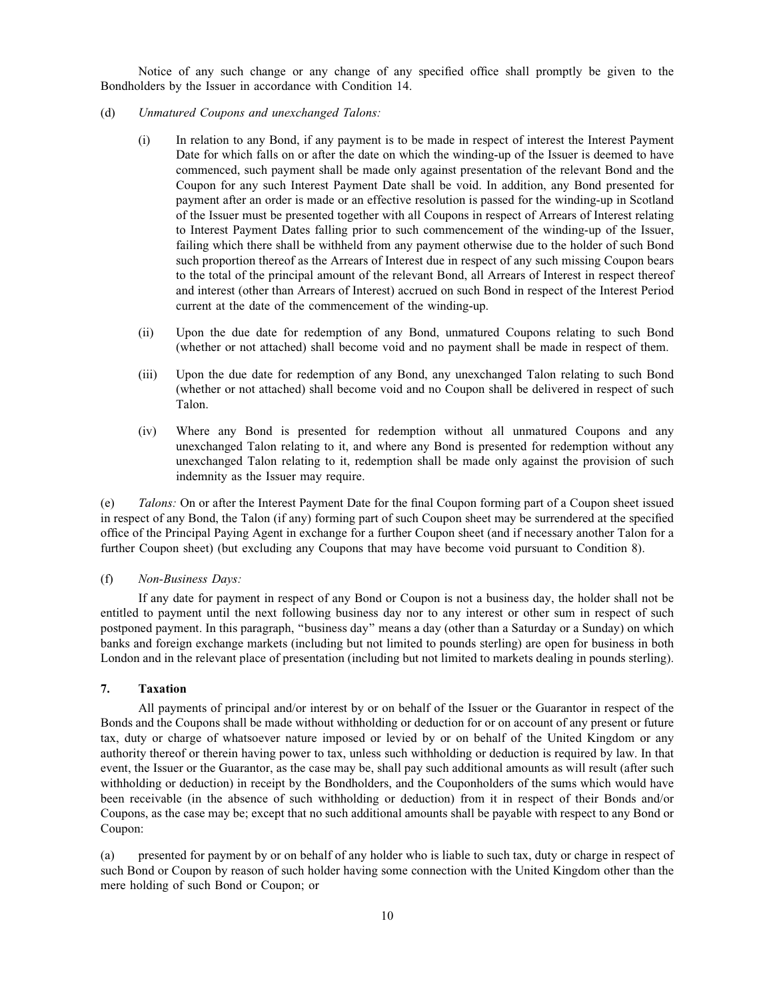Notice of any such change or any change of any specified office shall promptly be given to the Bondholders by the Issuer in accordance with Condition 14.

- (d) Unmatured Coupons and unexchanged Talons:
	- (i) In relation to any Bond, if any payment is to be made in respect of interest the Interest Payment Date for which falls on or after the date on which the winding-up of the Issuer is deemed to have commenced, such payment shall be made only against presentation of the relevant Bond and the Coupon for any such Interest Payment Date shall be void. In addition, any Bond presented for payment after an order is made or an effective resolution is passed for the winding-up in Scotland of the Issuer must be presented together with all Coupons in respect of Arrears of Interest relating to Interest Payment Dates falling prior to such commencement of the winding-up of the Issuer, failing which there shall be withheld from any payment otherwise due to the holder of such Bond such proportion thereof as the Arrears of Interest due in respect of any such missing Coupon bears to the total of the principal amount of the relevant Bond, all Arrears of Interest in respect thereof and interest (other than Arrears of Interest) accrued on such Bond in respect of the Interest Period current at the date of the commencement of the winding-up.
	- (ii) Upon the due date for redemption of any Bond, unmatured Coupons relating to such Bond (whether or not attached) shall become void and no payment shall be made in respect of them.
	- (iii) Upon the due date for redemption of any Bond, any unexchanged Talon relating to such Bond (whether or not attached) shall become void and no Coupon shall be delivered in respect of such Talon.
	- (iv) Where any Bond is presented for redemption without all unmatured Coupons and any unexchanged Talon relating to it, and where any Bond is presented for redemption without any unexchanged Talon relating to it, redemption shall be made only against the provision of such indemnity as the Issuer may require.

(e) Talons: On or after the Interest Payment Date for the final Coupon forming part of a Coupon sheet issued in respect of any Bond, the Talon (if any) forming part of such Coupon sheet may be surrendered at the specified office of the Principal Paying Agent in exchange for a further Coupon sheet (and if necessary another Talon for a further Coupon sheet) (but excluding any Coupons that may have become void pursuant to Condition 8).

#### (f) Non-Business Days:

If any date for payment in respect of any Bond or Coupon is not a business day, the holder shall not be entitled to payment until the next following business day nor to any interest or other sum in respect of such postponed payment. In this paragraph, ''business day'' means a day (other than a Saturday or a Sunday) on which banks and foreign exchange markets (including but not limited to pounds sterling) are open for business in both London and in the relevant place of presentation (including but not limited to markets dealing in pounds sterling).

#### 7. Taxation

All payments of principal and/or interest by or on behalf of the Issuer or the Guarantor in respect of the Bonds and the Coupons shall be made without withholding or deduction for or on account of any present or future tax, duty or charge of whatsoever nature imposed or levied by or on behalf of the United Kingdom or any authority thereof or therein having power to tax, unless such withholding or deduction is required by law. In that event, the Issuer or the Guarantor, as the case may be, shall pay such additional amounts as will result (after such withholding or deduction) in receipt by the Bondholders, and the Couponholders of the sums which would have been receivable (in the absence of such withholding or deduction) from it in respect of their Bonds and/or Coupons, as the case may be; except that no such additional amounts shall be payable with respect to any Bond or Coupon:

(a) presented for payment by or on behalf of any holder who is liable to such tax, duty or charge in respect of such Bond or Coupon by reason of such holder having some connection with the United Kingdom other than the mere holding of such Bond or Coupon; or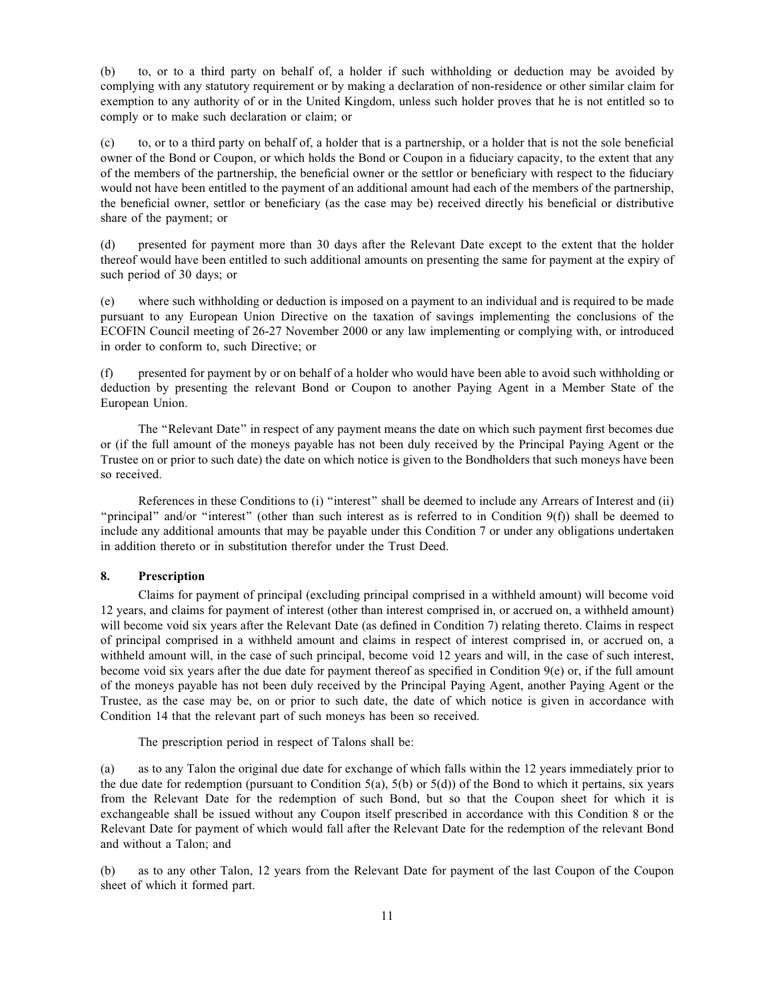(b) to, or to a third party on behalf of, a holder if such withholding or deduction may be avoided by complying with any statutory requirement or by making a declaration of non-residence or other similar claim for exemption to any authority of or in the United Kingdom, unless such holder proves that he is not entitled so to comply or to make such declaration or claim; or

(c) to, or to a third party on behalf of, a holder that is a partnership, or a holder that is not the sole beneficial owner of the Bond or Coupon, or which holds the Bond or Coupon in a fiduciary capacity, to the extent that any of the members of the partnership, the beneficial owner or the settlor or beneficiary with respect to the fiduciary would not have been entitled to the payment of an additional amount had each of the members of the partnership, the beneficial owner, settlor or beneficiary (as the case may be) received directly his beneficial or distributive share of the payment; or

(d) presented for payment more than 30 days after the Relevant Date except to the extent that the holder thereof would have been entitled to such additional amounts on presenting the same for payment at the expiry of such period of 30 days; or

(e) where such withholding or deduction is imposed on a payment to an individual and is required to be made pursuant to any European Union Directive on the taxation of savings implementing the conclusions of the ECOFIN Council meeting of 26-27 November 2000 or any law implementing or complying with, or introduced in order to conform to, such Directive; or

(f) presented for payment by or on behalf of a holder who would have been able to avoid such withholding or deduction by presenting the relevant Bond or Coupon to another Paying Agent in a Member State of the European Union.

The "Relevant Date" in respect of any payment means the date on which such payment first becomes due or (if the full amount of the moneys payable has not been duly received by the Principal Paying Agent or the Trustee on or prior to such date) the date on which notice is given to the Bondholders that such moneys have been so received.

References in these Conditions to (i) ''interest'' shall be deemed to include any Arrears of Interest and (ii) ''principal'' and/or ''interest'' (other than such interest as is referred to in Condition 9(f)) shall be deemed to include any additional amounts that may be payable under this Condition 7 or under any obligations undertaken in addition thereto or in substitution therefor under the Trust Deed.

### 8. Prescription

Claims for payment of principal (excluding principal comprised in a withheld amount) will become void 12 years, and claims for payment of interest (other than interest comprised in, or accrued on, a withheld amount) will become void six years after the Relevant Date (as defined in Condition 7) relating thereto. Claims in respect of principal comprised in a withheld amount and claims in respect of interest comprised in, or accrued on, a withheld amount will, in the case of such principal, become void 12 years and will, in the case of such interest, become void six years after the due date for payment thereof as specified in Condition  $9(e)$  or, if the full amount of the moneys payable has not been duly received by the Principal Paying Agent, another Paying Agent or the Trustee, as the case may be, on or prior to such date, the date of which notice is given in accordance with Condition 14 that the relevant part of such moneys has been so received.

The prescription period in respect of Talons shall be:

(a) as to any Talon the original due date for exchange of which falls within the 12 years immediately prior to the due date for redemption (pursuant to Condition  $5(a)$ ,  $5(b)$  or  $5(d)$ ) of the Bond to which it pertains, six years from the Relevant Date for the redemption of such Bond, but so that the Coupon sheet for which it is exchangeable shall be issued without any Coupon itself prescribed in accordance with this Condition 8 or the Relevant Date for payment of which would fall after the Relevant Date for the redemption of the relevant Bond and without a Talon; and

(b) as to any other Talon, 12 years from the Relevant Date for payment of the last Coupon of the Coupon sheet of which it formed part.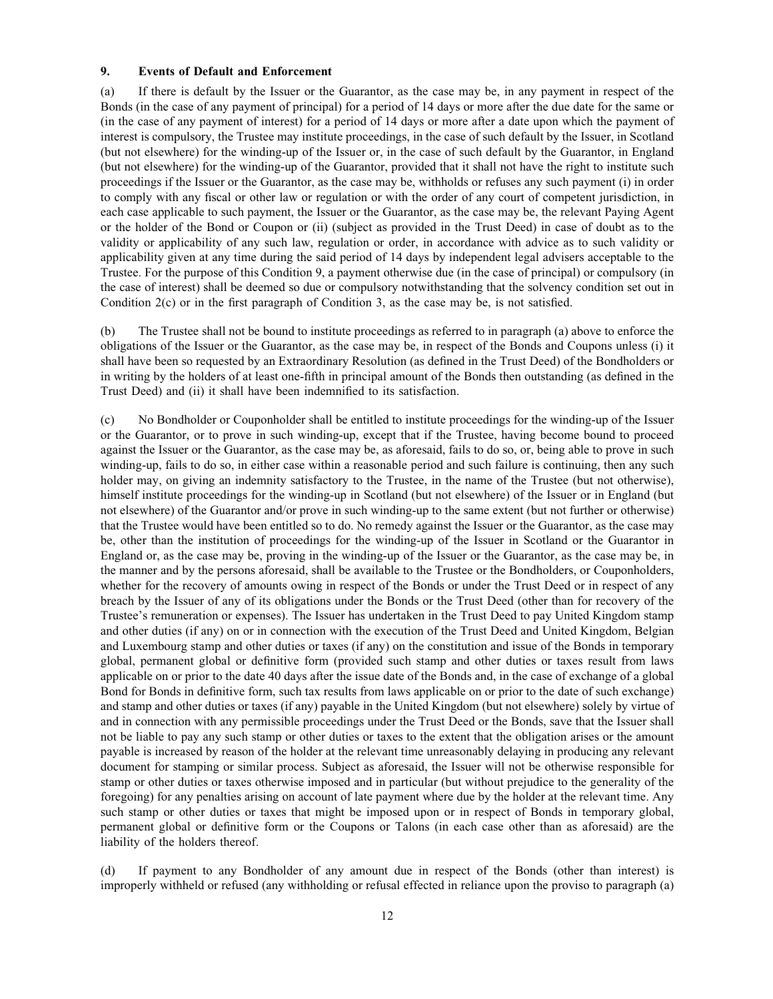# 9. Events of Default and Enforcement

(a) If there is default by the Issuer or the Guarantor, as the case may be, in any payment in respect of the Bonds (in the case of any payment of principal) for a period of 14 days or more after the due date for the same or (in the case of any payment of interest) for a period of 14 days or more after a date upon which the payment of interest is compulsory, the Trustee may institute proceedings, in the case of such default by the Issuer, in Scotland (but not elsewhere) for the winding-up of the Issuer or, in the case of such default by the Guarantor, in England (but not elsewhere) for the winding-up of the Guarantor, provided that it shall not have the right to institute such proceedings if the Issuer or the Guarantor, as the case may be, withholds or refuses any such payment (i) in order to comply with any fiscal or other law or regulation or with the order of any court of competent jurisdiction, in each case applicable to such payment, the Issuer or the Guarantor, as the case may be, the relevant Paying Agent or the holder of the Bond or Coupon or (ii) (subject as provided in the Trust Deed) in case of doubt as to the validity or applicability of any such law, regulation or order, in accordance with advice as to such validity or applicability given at any time during the said period of 14 days by independent legal advisers acceptable to the Trustee. For the purpose of this Condition 9, a payment otherwise due (in the case of principal) or compulsory (in the case of interest) shall be deemed so due or compulsory notwithstanding that the solvency condition set out in Condition 2(c) or in the first paragraph of Condition 3, as the case may be, is not satisfied.

(b) The Trustee shall not be bound to institute proceedings as referred to in paragraph (a) above to enforce the obligations of the Issuer or the Guarantor, as the case may be, in respect of the Bonds and Coupons unless (i) it shall have been so requested by an Extraordinary Resolution (as defined in the Trust Deed) of the Bondholders or in writing by the holders of at least one-fifth in principal amount of the Bonds then outstanding (as defined in the Trust Deed) and (ii) it shall have been indemnified to its satisfaction.

(c) No Bondholder or Couponholder shall be entitled to institute proceedings for the winding-up of the Issuer or the Guarantor, or to prove in such winding-up, except that if the Trustee, having become bound to proceed against the Issuer or the Guarantor, as the case may be, as aforesaid, fails to do so, or, being able to prove in such winding-up, fails to do so, in either case within a reasonable period and such failure is continuing, then any such holder may, on giving an indemnity satisfactory to the Trustee, in the name of the Trustee (but not otherwise), himself institute proceedings for the winding-up in Scotland (but not elsewhere) of the Issuer or in England (but not elsewhere) of the Guarantor and/or prove in such winding-up to the same extent (but not further or otherwise) that the Trustee would have been entitled so to do. No remedy against the Issuer or the Guarantor, as the case may be, other than the institution of proceedings for the winding-up of the Issuer in Scotland or the Guarantor in England or, as the case may be, proving in the winding-up of the Issuer or the Guarantor, as the case may be, in the manner and by the persons aforesaid, shall be available to the Trustee or the Bondholders, or Couponholders, whether for the recovery of amounts owing in respect of the Bonds or under the Trust Deed or in respect of any breach by the Issuer of any of its obligations under the Bonds or the Trust Deed (other than for recovery of the Trustee's remuneration or expenses). The Issuer has undertaken in the Trust Deed to pay United Kingdom stamp and other duties (if any) on or in connection with the execution of the Trust Deed and United Kingdom, Belgian and Luxembourg stamp and other duties or taxes (if any) on the constitution and issue of the Bonds in temporary global, permanent global or definitive form (provided such stamp and other duties or taxes result from laws applicable on or prior to the date 40 days after the issue date of the Bonds and, in the case of exchange of a global Bond for Bonds in definitive form, such tax results from laws applicable on or prior to the date of such exchange) and stamp and other duties or taxes (if any) payable in the United Kingdom (but not elsewhere) solely by virtue of and in connection with any permissible proceedings under the Trust Deed or the Bonds, save that the Issuer shall not be liable to pay any such stamp or other duties or taxes to the extent that the obligation arises or the amount payable is increased by reason of the holder at the relevant time unreasonably delaying in producing any relevant document for stamping or similar process. Subject as aforesaid, the Issuer will not be otherwise responsible for stamp or other duties or taxes otherwise imposed and in particular (but without prejudice to the generality of the foregoing) for any penalties arising on account of late payment where due by the holder at the relevant time. Any such stamp or other duties or taxes that might be imposed upon or in respect of Bonds in temporary global, permanent global or definitive form or the Coupons or Talons (in each case other than as aforesaid) are the liability of the holders thereof.

(d) If payment to any Bondholder of any amount due in respect of the Bonds (other than interest) is improperly withheld or refused (any withholding or refusal effected in reliance upon the proviso to paragraph (a)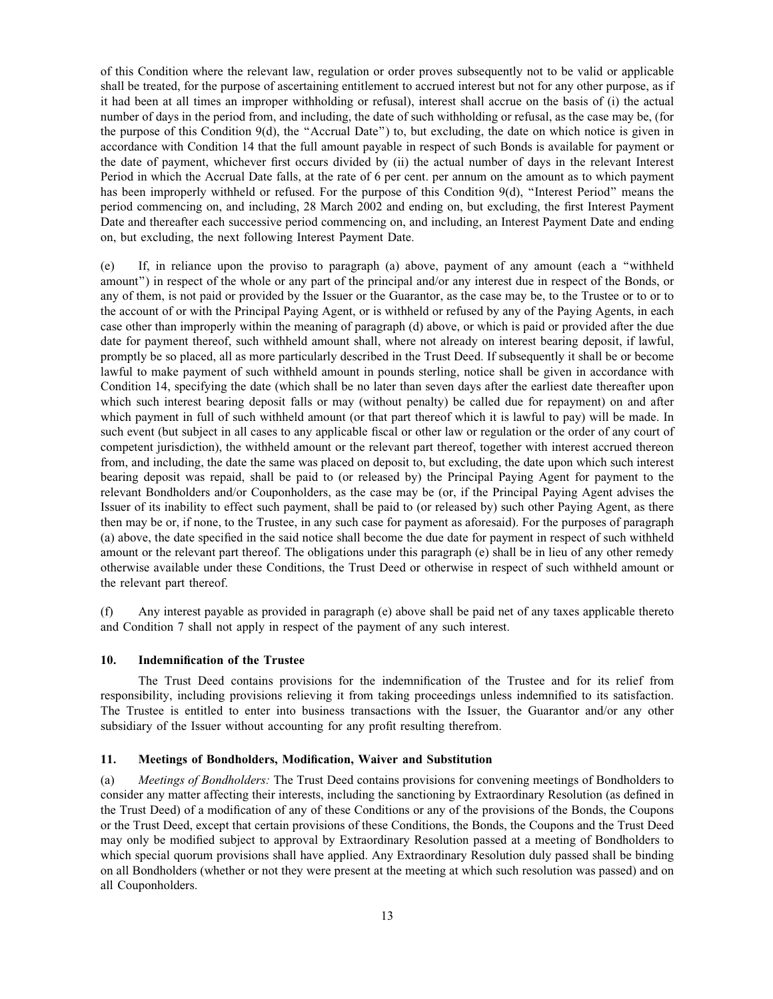of this Condition where the relevant law, regulation or order proves subsequently not to be valid or applicable shall be treated, for the purpose of ascertaining entitlement to accrued interest but not for any other purpose, as if it had been at all times an improper withholding or refusal), interest shall accrue on the basis of (i) the actual number of days in the period from, and including, the date of such withholding or refusal, as the case may be, (for the purpose of this Condition 9(d), the ''Accrual Date'') to, but excluding, the date on which notice is given in accordance with Condition 14 that the full amount payable in respect of such Bonds is available for payment or the date of payment, whichever first occurs divided by (ii) the actual number of days in the relevant Interest Period in which the Accrual Date falls, at the rate of 6 per cent. per annum on the amount as to which payment has been improperly withheld or refused. For the purpose of this Condition 9(d), ''Interest Period'' means the period commencing on, and including, 28 March 2002 and ending on, but excluding, the first Interest Payment Date and thereafter each successive period commencing on, and including, an Interest Payment Date and ending on, but excluding, the next following Interest Payment Date.

(e) If, in reliance upon the proviso to paragraph (a) above, payment of any amount (each a ''withheld amount'') in respect of the whole or any part of the principal and/or any interest due in respect of the Bonds, or any of them, is not paid or provided by the Issuer or the Guarantor, as the case may be, to the Trustee or to or to the account of or with the Principal Paying Agent, or is withheld or refused by any of the Paying Agents, in each case other than improperly within the meaning of paragraph (d) above, or which is paid or provided after the due date for payment thereof, such withheld amount shall, where not already on interest bearing deposit, if lawful, promptly be so placed, all as more particularly described in the Trust Deed. If subsequently it shall be or become lawful to make payment of such withheld amount in pounds sterling, notice shall be given in accordance with Condition 14, specifying the date (which shall be no later than seven days after the earliest date thereafter upon which such interest bearing deposit falls or may (without penalty) be called due for repayment) on and after which payment in full of such withheld amount (or that part thereof which it is lawful to pay) will be made. In such event (but subject in all cases to any applicable fiscal or other law or regulation or the order of any court of competent jurisdiction), the withheld amount or the relevant part thereof, together with interest accrued thereon from, and including, the date the same was placed on deposit to, but excluding, the date upon which such interest bearing deposit was repaid, shall be paid to (or released by) the Principal Paying Agent for payment to the relevant Bondholders and/or Couponholders, as the case may be (or, if the Principal Paying Agent advises the Issuer of its inability to effect such payment, shall be paid to (or released by) such other Paying Agent, as there then may be or, if none, to the Trustee, in any such case for payment as aforesaid). For the purposes of paragraph (a) above, the date specified in the said notice shall become the due date for payment in respect of such withheld amount or the relevant part thereof. The obligations under this paragraph (e) shall be in lieu of any other remedy otherwise available under these Conditions, the Trust Deed or otherwise in respect of such withheld amount or the relevant part thereof.

(f) Any interest payable as provided in paragraph (e) above shall be paid net of any taxes applicable thereto and Condition 7 shall not apply in respect of the payment of any such interest.

# 10. Indemnification of the Trustee

The Trust Deed contains provisions for the indemnification of the Trustee and for its relief from responsibility, including provisions relieving it from taking proceedings unless indemnified to its satisfaction. The Trustee is entitled to enter into business transactions with the Issuer, the Guarantor and/or any other subsidiary of the Issuer without accounting for any profit resulting therefrom.

#### 11. Meetings of Bondholders, Modification, Waiver and Substitution

(a) Meetings of Bondholders: The Trust Deed contains provisions for convening meetings of Bondholders to consider any matter affecting their interests, including the sanctioning by Extraordinary Resolution (as defined in the Trust Deed) of a modification of any of these Conditions or any of the provisions of the Bonds, the Coupons or the Trust Deed, except that certain provisions of these Conditions, the Bonds, the Coupons and the Trust Deed may only be modified subject to approval by Extraordinary Resolution passed at a meeting of Bondholders to which special quorum provisions shall have applied. Any Extraordinary Resolution duly passed shall be binding on all Bondholders (whether or not they were present at the meeting at which such resolution was passed) and on all Couponholders.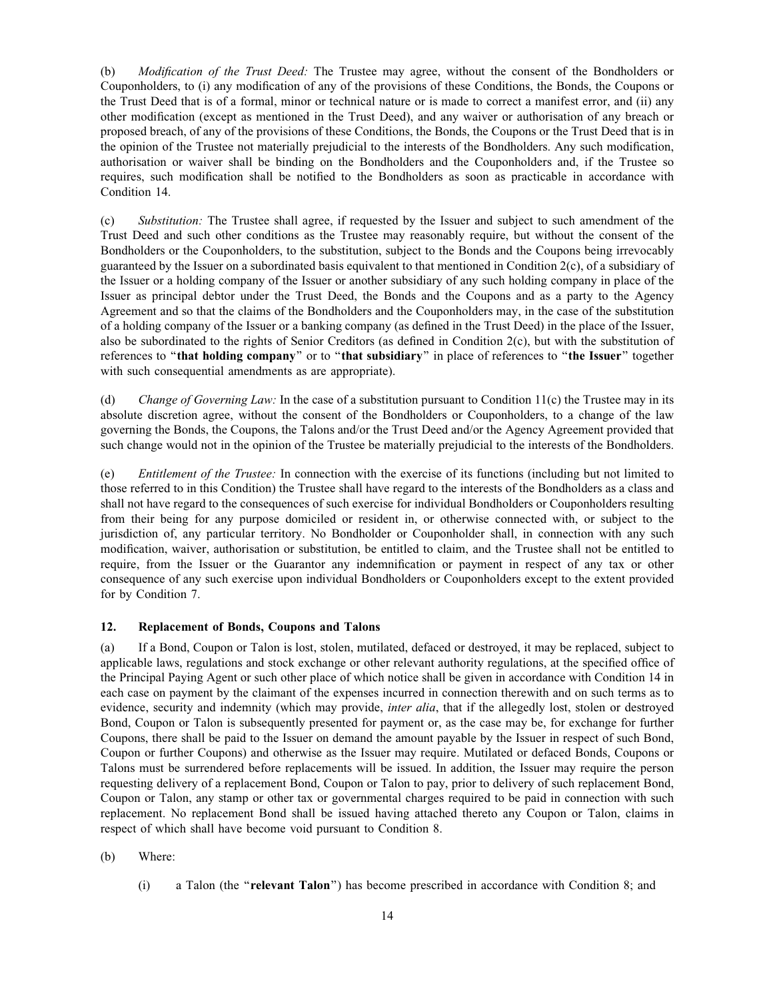(b) Modification of the Trust Deed: The Trustee may agree, without the consent of the Bondholders or Couponholders, to (i) any modification of any of the provisions of these Conditions, the Bonds, the Coupons or the Trust Deed that is of a formal, minor or technical nature or is made to correct a manifest error, and (ii) any other modification (except as mentioned in the Trust Deed), and any waiver or authorisation of any breach or proposed breach, of any of the provisions of these Conditions, the Bonds, the Coupons or the Trust Deed that is in the opinion of the Trustee not materially prejudicial to the interests of the Bondholders. Any such modification, authorisation or waiver shall be binding on the Bondholders and the Couponholders and, if the Trustee so requires, such modification shall be notified to the Bondholders as soon as practicable in accordance with Condition 14.

(c) Substitution: The Trustee shall agree, if requested by the Issuer and subject to such amendment of the Trust Deed and such other conditions as the Trustee may reasonably require, but without the consent of the Bondholders or the Couponholders, to the substitution, subject to the Bonds and the Coupons being irrevocably guaranteed by the Issuer on a subordinated basis equivalent to that mentioned in Condition 2(c), of a subsidiary of the Issuer or a holding company of the Issuer or another subsidiary of any such holding company in place of the Issuer as principal debtor under the Trust Deed, the Bonds and the Coupons and as a party to the Agency Agreement and so that the claims of the Bondholders and the Couponholders may, in the case of the substitution of a holding company of the Issuer or a banking company (as defined in the Trust Deed) in the place of the Issuer, also be subordinated to the rights of Senior Creditors (as defined in Condition  $2(c)$ , but with the substitution of references to "that holding company" or to "that subsidiary" in place of references to "the Issuer" together with such consequential amendments as are appropriate).

(d) Change of Governing Law: In the case of a substitution pursuant to Condition 11(c) the Trustee may in its absolute discretion agree, without the consent of the Bondholders or Couponholders, to a change of the law governing the Bonds, the Coupons, the Talons and/or the Trust Deed and/or the Agency Agreement provided that such change would not in the opinion of the Trustee be materially prejudicial to the interests of the Bondholders.

(e) Entitlement of the Trustee: In connection with the exercise of its functions (including but not limited to those referred to in this Condition) the Trustee shall have regard to the interests of the Bondholders as a class and shall not have regard to the consequences of such exercise for individual Bondholders or Couponholders resulting from their being for any purpose domiciled or resident in, or otherwise connected with, or subject to the jurisdiction of, any particular territory. No Bondholder or Couponholder shall, in connection with any such modification, waiver, authorisation or substitution, be entitled to claim, and the Trustee shall not be entitled to require, from the Issuer or the Guarantor any indemnification or payment in respect of any tax or other consequence of any such exercise upon individual Bondholders or Couponholders except to the extent provided for by Condition 7.

# 12. Replacement of Bonds, Coupons and Talons

(a) If a Bond, Coupon or Talon is lost, stolen, mutilated, defaced or destroyed, it may be replaced, subject to applicable laws, regulations and stock exchange or other relevant authority regulations, at the specified office of the Principal Paying Agent or such other place of which notice shall be given in accordance with Condition 14 in each case on payment by the claimant of the expenses incurred in connection therewith and on such terms as to evidence, security and indemnity (which may provide, *inter alia*, that if the allegedly lost, stolen or destroyed Bond, Coupon or Talon is subsequently presented for payment or, as the case may be, for exchange for further Coupons, there shall be paid to the Issuer on demand the amount payable by the Issuer in respect of such Bond, Coupon or further Coupons) and otherwise as the Issuer may require. Mutilated or defaced Bonds, Coupons or Talons must be surrendered before replacements will be issued. In addition, the Issuer may require the person requesting delivery of a replacement Bond, Coupon or Talon to pay, prior to delivery of such replacement Bond, Coupon or Talon, any stamp or other tax or governmental charges required to be paid in connection with such replacement. No replacement Bond shall be issued having attached thereto any Coupon or Talon, claims in respect of which shall have become void pursuant to Condition 8.

(b) Where:

(i) a Talon (the ''relevant Talon'') has become prescribed in accordance with Condition 8; and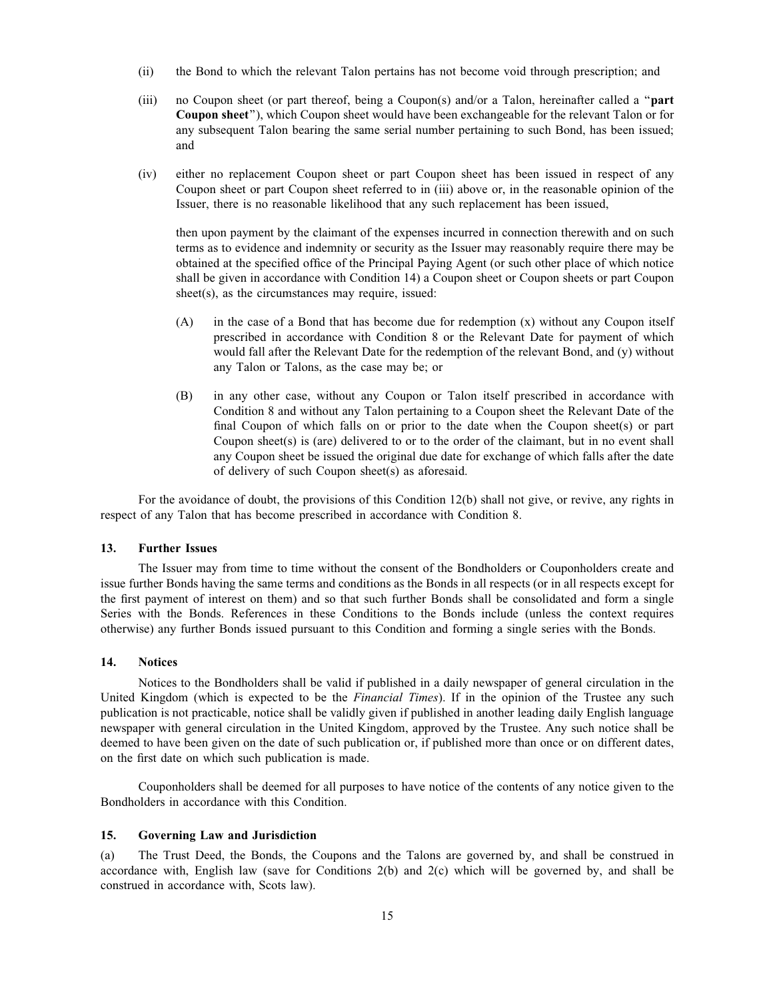- (ii) the Bond to which the relevant Talon pertains has not become void through prescription; and
- (iii) no Coupon sheet (or part thereof, being a Coupon(s) and/or a Talon, hereinafter called a ''part Coupon sheet''), which Coupon sheet would have been exchangeable for the relevant Talon or for any subsequent Talon bearing the same serial number pertaining to such Bond, has been issued; and
- (iv) either no replacement Coupon sheet or part Coupon sheet has been issued in respect of any Coupon sheet or part Coupon sheet referred to in (iii) above or, in the reasonable opinion of the Issuer, there is no reasonable likelihood that any such replacement has been issued,

then upon payment by the claimant of the expenses incurred in connection therewith and on such terms as to evidence and indemnity or security as the Issuer may reasonably require there may be obtained at the specified office of the Principal Paying Agent (or such other place of which notice shall be given in accordance with Condition 14) a Coupon sheet or Coupon sheets or part Coupon sheet(s), as the circumstances may require, issued:

- (A) in the case of a Bond that has become due for redemption (x) without any Coupon itself prescribed in accordance with Condition 8 or the Relevant Date for payment of which would fall after the Relevant Date for the redemption of the relevant Bond, and (y) without any Talon or Talons, as the case may be; or
- (B) in any other case, without any Coupon or Talon itself prescribed in accordance with Condition 8 and without any Talon pertaining to a Coupon sheet the Relevant Date of the final Coupon of which falls on or prior to the date when the Coupon sheet(s) or part Coupon sheet(s) is (are) delivered to or to the order of the claimant, but in no event shall any Coupon sheet be issued the original due date for exchange of which falls after the date of delivery of such Coupon sheet(s) as aforesaid.

For the avoidance of doubt, the provisions of this Condition 12(b) shall not give, or revive, any rights in respect of any Talon that has become prescribed in accordance with Condition 8.

# 13. Further Issues

The Issuer may from time to time without the consent of the Bondholders or Couponholders create and issue further Bonds having the same terms and conditions as the Bonds in all respects (or in all respects except for the first payment of interest on them) and so that such further Bonds shall be consolidated and form a single Series with the Bonds. References in these Conditions to the Bonds include (unless the context requires otherwise) any further Bonds issued pursuant to this Condition and forming a single series with the Bonds.

#### 14. Notices

Notices to the Bondholders shall be valid if published in a daily newspaper of general circulation in the United Kingdom (which is expected to be the *Financial Times*). If in the opinion of the Trustee any such publication is not practicable, notice shall be validly given if published in another leading daily English language newspaper with general circulation in the United Kingdom, approved by the Trustee. Any such notice shall be deemed to have been given on the date of such publication or, if published more than once or on different dates, on the first date on which such publication is made.

Couponholders shall be deemed for all purposes to have notice of the contents of any notice given to the Bondholders in accordance with this Condition.

#### 15. Governing Law and Jurisdiction

(a) The Trust Deed, the Bonds, the Coupons and the Talons are governed by, and shall be construed in accordance with, English law (save for Conditions 2(b) and 2(c) which will be governed by, and shall be construed in accordance with, Scots law).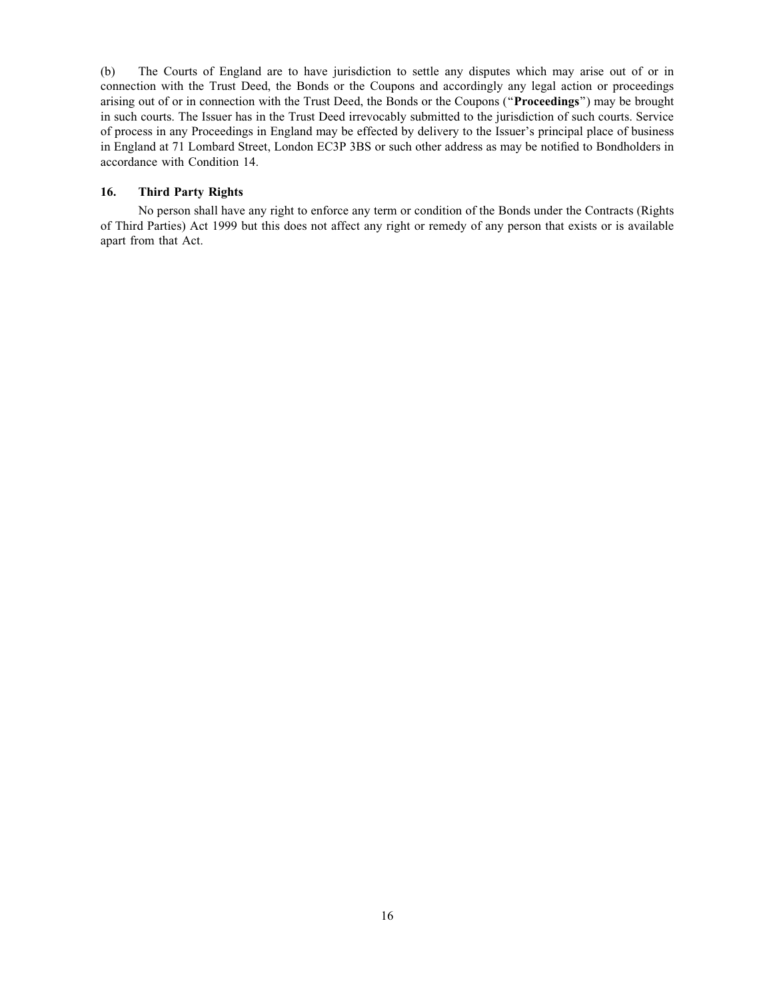(b) The Courts of England are to have jurisdiction to settle any disputes which may arise out of or in connection with the Trust Deed, the Bonds or the Coupons and accordingly any legal action or proceedings arising out of or in connection with the Trust Deed, the Bonds or the Coupons (''Proceedings'') may be brought in such courts. The Issuer has in the Trust Deed irrevocably submitted to the jurisdiction of such courts. Service of process in any Proceedings in England may be effected by delivery to the Issuer's principal place of business in England at 71 Lombard Street, London EC3P 3BS or such other address as may be notified to Bondholders in accordance with Condition 14.

# 16. Third Party Rights

No person shall have any right to enforce any term or condition of the Bonds under the Contracts (Rights of Third Parties) Act 1999 but this does not affect any right or remedy of any person that exists or is available apart from that Act.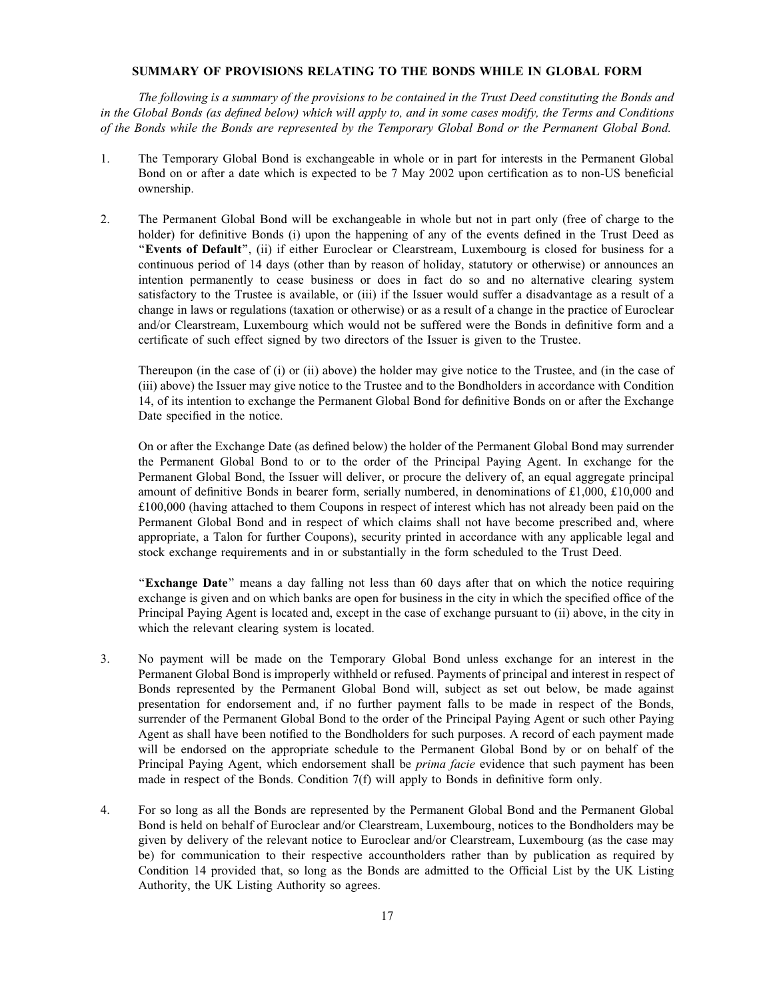# SUMMARY OF PROVISIONS RELATING TO THE BONDS WHILE IN GLOBAL FORM

The following is a summary of the provisions to be contained in the Trust Deed constituting the Bonds and in the Global Bonds (as defined below) which will apply to, and in some cases modify, the Terms and Conditions of the Bonds while the Bonds are represented by the Temporary Global Bond or the Permanent Global Bond.

- 1. The Temporary Global Bond is exchangeable in whole or in part for interests in the Permanent Global Bond on or after a date which is expected to be 7 May 2002 upon certification as to non-US beneficial ownership.
- 2. The Permanent Global Bond will be exchangeable in whole but not in part only (free of charge to the holder) for definitive Bonds (i) upon the happening of any of the events defined in the Trust Deed as ''Events of Default'', (ii) if either Euroclear or Clearstream, Luxembourg is closed for business for a continuous period of 14 days (other than by reason of holiday, statutory or otherwise) or announces an intention permanently to cease business or does in fact do so and no alternative clearing system satisfactory to the Trustee is available, or (iii) if the Issuer would suffer a disadvantage as a result of a change in laws or regulations (taxation or otherwise) or as a result of a change in the practice of Euroclear and/or Clearstream, Luxembourg which would not be suffered were the Bonds in definitive form and a certificate of such effect signed by two directors of the Issuer is given to the Trustee.

Thereupon (in the case of (i) or (ii) above) the holder may give notice to the Trustee, and (in the case of (iii) above) the Issuer may give notice to the Trustee and to the Bondholders in accordance with Condition 14, of its intention to exchange the Permanent Global Bond for definitive Bonds on or after the Exchange Date specified in the notice.

On or after the Exchange Date (as defined below) the holder of the Permanent Global Bond may surrender the Permanent Global Bond to or to the order of the Principal Paying Agent. In exchange for the Permanent Global Bond, the Issuer will deliver, or procure the delivery of, an equal aggregate principal amount of definitive Bonds in bearer form, serially numbered, in denominations of £1,000, £10,000 and £100,000 (having attached to them Coupons in respect of interest which has not already been paid on the Permanent Global Bond and in respect of which claims shall not have become prescribed and, where appropriate, a Talon for further Coupons), security printed in accordance with any applicable legal and stock exchange requirements and in or substantially in the form scheduled to the Trust Deed.

"Exchange Date" means a day falling not less than 60 days after that on which the notice requiring exchange is given and on which banks are open for business in the city in which the specified office of the Principal Paying Agent is located and, except in the case of exchange pursuant to (ii) above, in the city in which the relevant clearing system is located.

- 3. No payment will be made on the Temporary Global Bond unless exchange for an interest in the Permanent Global Bond is improperly withheld or refused. Payments of principal and interest in respect of Bonds represented by the Permanent Global Bond will, subject as set out below, be made against presentation for endorsement and, if no further payment falls to be made in respect of the Bonds, surrender of the Permanent Global Bond to the order of the Principal Paying Agent or such other Paying Agent as shall have been notified to the Bondholders for such purposes. A record of each payment made will be endorsed on the appropriate schedule to the Permanent Global Bond by or on behalf of the Principal Paying Agent, which endorsement shall be *prima facie* evidence that such payment has been made in respect of the Bonds. Condition 7(f) will apply to Bonds in definitive form only.
- 4. For so long as all the Bonds are represented by the Permanent Global Bond and the Permanent Global Bond is held on behalf of Euroclear and/or Clearstream, Luxembourg, notices to the Bondholders may be given by delivery of the relevant notice to Euroclear and/or Clearstream, Luxembourg (as the case may be) for communication to their respective accountholders rather than by publication as required by Condition 14 provided that, so long as the Bonds are admitted to the Official List by the UK Listing Authority, the UK Listing Authority so agrees.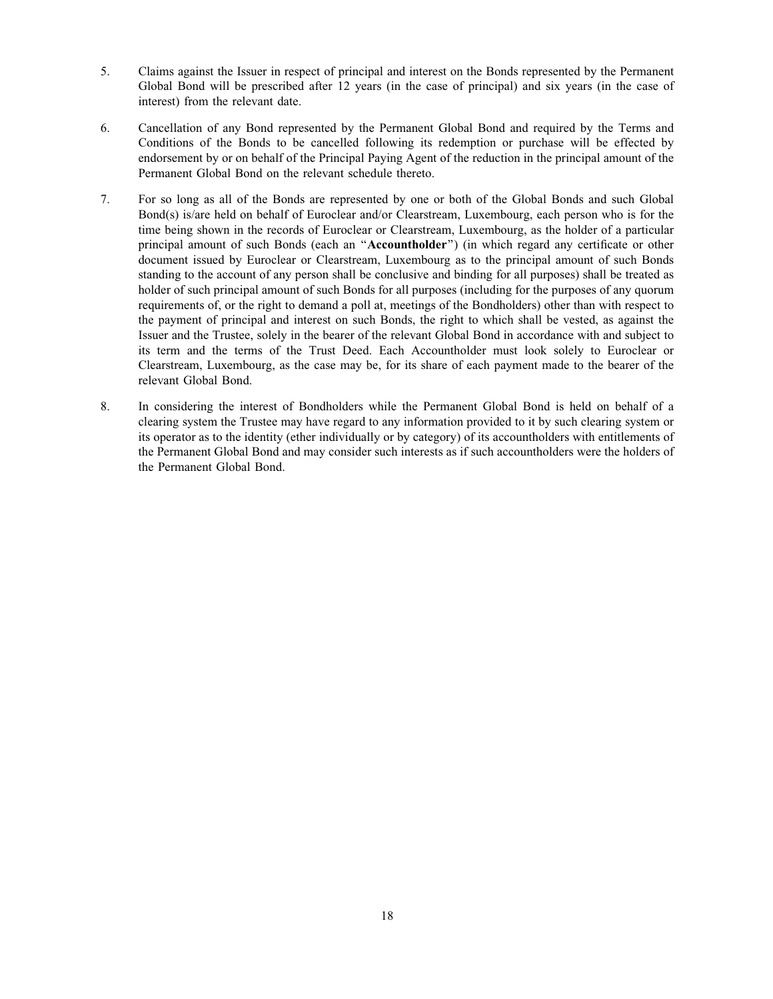- 5. Claims against the Issuer in respect of principal and interest on the Bonds represented by the Permanent Global Bond will be prescribed after 12 years (in the case of principal) and six years (in the case of interest) from the relevant date.
- 6. Cancellation of any Bond represented by the Permanent Global Bond and required by the Terms and Conditions of the Bonds to be cancelled following its redemption or purchase will be effected by endorsement by or on behalf of the Principal Paying Agent of the reduction in the principal amount of the Permanent Global Bond on the relevant schedule thereto.
- 7. For so long as all of the Bonds are represented by one or both of the Global Bonds and such Global Bond(s) is/are held on behalf of Euroclear and/or Clearstream, Luxembourg, each person who is for the time being shown in the records of Euroclear or Clearstream, Luxembourg, as the holder of a particular principal amount of such Bonds (each an ''Accountholder'') (in which regard any certificate or other document issued by Euroclear or Clearstream, Luxembourg as to the principal amount of such Bonds standing to the account of any person shall be conclusive and binding for all purposes) shall be treated as holder of such principal amount of such Bonds for all purposes (including for the purposes of any quorum requirements of, or the right to demand a poll at, meetings of the Bondholders) other than with respect to the payment of principal and interest on such Bonds, the right to which shall be vested, as against the Issuer and the Trustee, solely in the bearer of the relevant Global Bond in accordance with and subject to its term and the terms of the Trust Deed. Each Accountholder must look solely to Euroclear or Clearstream, Luxembourg, as the case may be, for its share of each payment made to the bearer of the relevant Global Bond.
- 8. In considering the interest of Bondholders while the Permanent Global Bond is held on behalf of a clearing system the Trustee may have regard to any information provided to it by such clearing system or its operator as to the identity (ether individually or by category) of its accountholders with entitlements of the Permanent Global Bond and may consider such interests as if such accountholders were the holders of the Permanent Global Bond.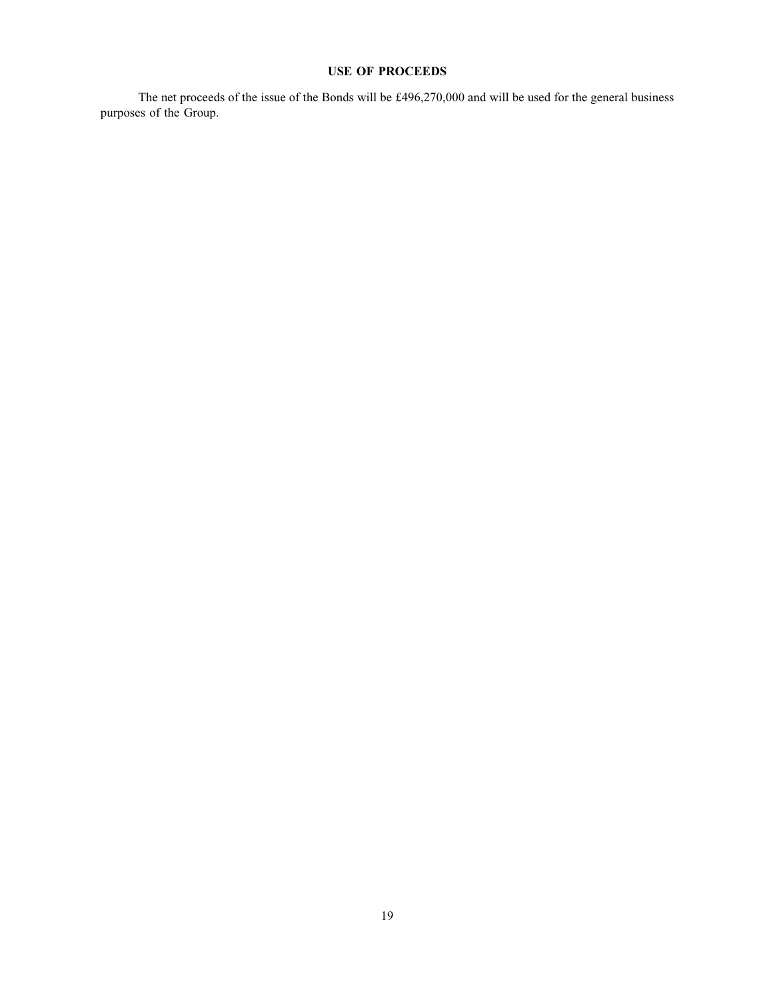# USE OF PROCEEDS

The net proceeds of the issue of the Bonds will be £496,270,000 and will be used for the general business purposes of the Group.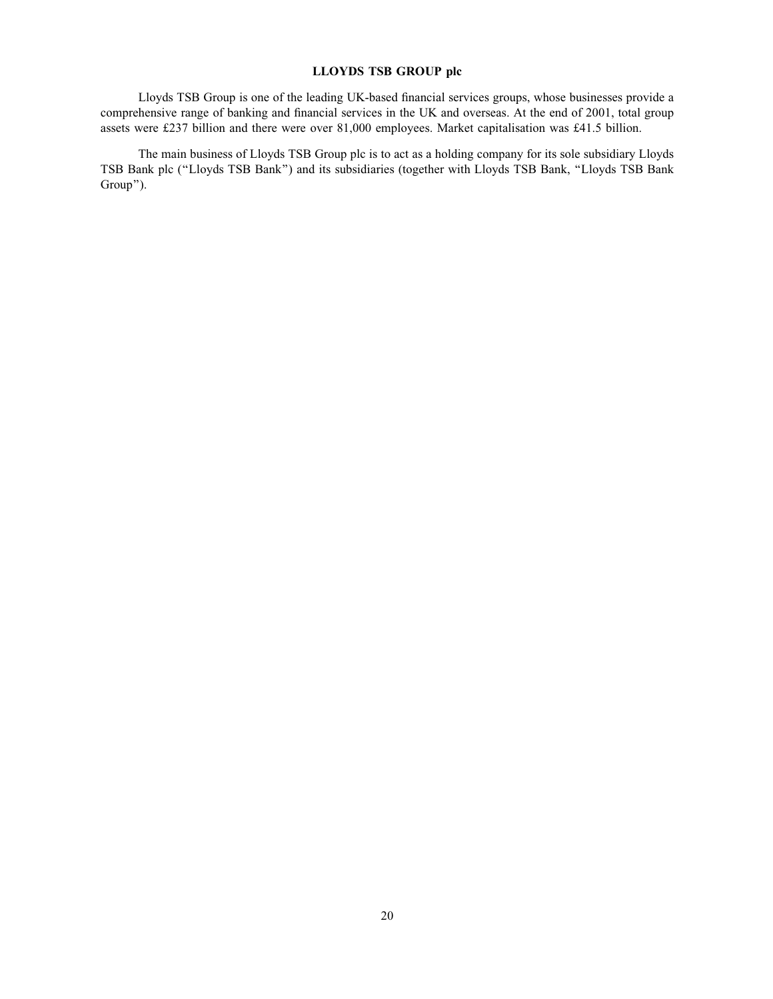# LLOYDS TSB GROUP plc

Lloyds TSB Group is one of the leading UK-based financial services groups, whose businesses provide a comprehensive range of banking and financial services in the UK and overseas. At the end of 2001, total group assets were £237 billion and there were over 81,000 employees. Market capitalisation was £41.5 billion.

The main business of Lloyds TSB Group plc is to act as a holding company for its sole subsidiary Lloyds TSB Bank plc (''Lloyds TSB Bank'') and its subsidiaries (together with Lloyds TSB Bank, ''Lloyds TSB Bank Group'').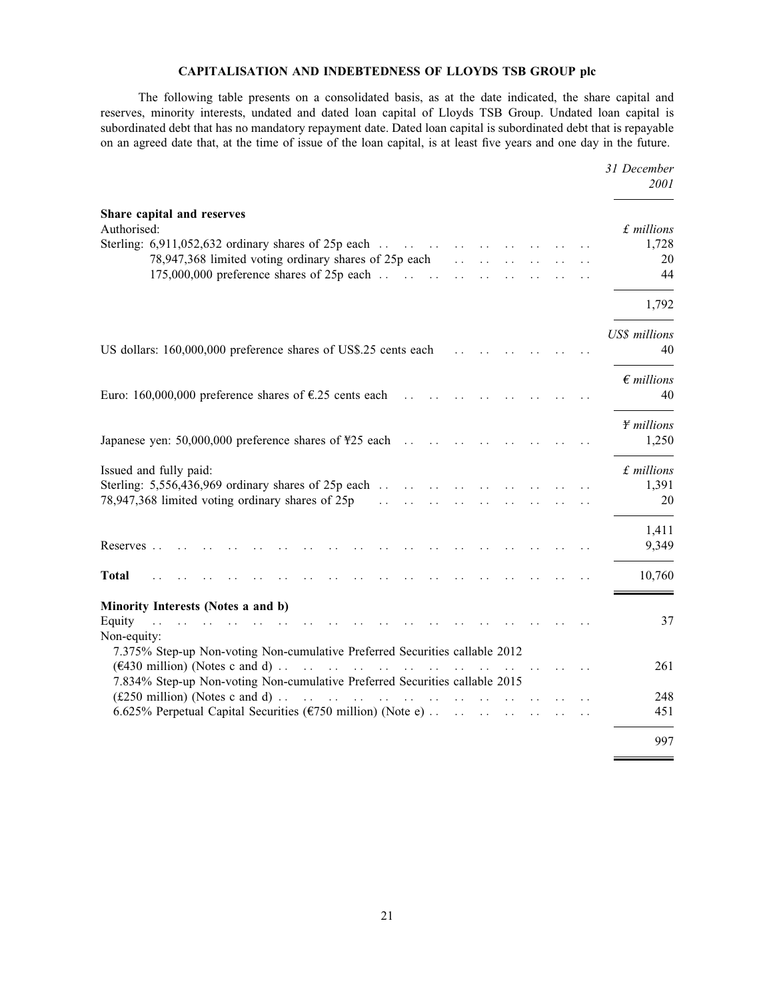# CAPITALISATION AND INDEBTEDNESS OF LLOYDS TSB GROUP plc

The following table presents on a consolidated basis, as at the date indicated, the share capital and reserves, minority interests, undated and dated loan capital of Lloyds TSB Group. Undated loan capital is subordinated debt that has no mandatory repayment date. Dated loan capital is subordinated debt that is repayable on an agreed date that, at the time of issue of the loan capital, is at least five years and one day in the future.

|                                                                                                                                                                                                                                                                            | 31 December<br>2001               |
|----------------------------------------------------------------------------------------------------------------------------------------------------------------------------------------------------------------------------------------------------------------------------|-----------------------------------|
| Share capital and reserves<br>Authorised:<br>78,947,368 limited voting ordinary shares of 25p each<br>$\sim 10^{-10}$                                                                                                                                                      | $£$ millions<br>1,728<br>20<br>44 |
|                                                                                                                                                                                                                                                                            | 1,792                             |
| US dollars: 160,000,000 preference shares of US\$.25 cents each                                                                                                                                                                                                            | US\$ millions<br>40               |
| Euro: 160,000,000 preference shares of $\epsilon$ .25 cents each<br>$\mathbf{r}$ . The set of $\mathbf{r}$                                                                                                                                                                 | $\epsilon$ millions<br>40         |
| Japanese yen: 50,000,000 preference shares of \ff25 each                                                                                                                                                                                                                   | $#$ millions<br>1,250             |
| Issued and fully paid:<br>Sterling: $5,556,436,969$ ordinary shares of $25p$ each<br>78,947,368 limited voting ordinary shares of 25p<br>$\ddotsc$                                                                                                                         | $£$ millions<br>1,391<br>20       |
| Reserves                                                                                                                                                                                                                                                                   | 1,411<br>9,349                    |
| <b>Total</b>                                                                                                                                                                                                                                                               | 10,760                            |
| Minority Interests (Notes a and b)<br>Equity<br>Non-equity:                                                                                                                                                                                                                | 37                                |
| 7.375% Step-up Non-voting Non-cumulative Preferred Securities callable 2012<br>$(\text{\textsterling}430 \text{ million})$ (Notes c and d).<br>in 1960.<br>Sedan Sulawan<br>$\sim 10^{-11}$<br>7.834% Step-up Non-voting Non-cumulative Preferred Securities callable 2015 | 261                               |
| $(\text{\pounds}250 \text{ million})$ (Notes c and d). $\dots$ $\dots$ $\dots$ $\dots$ $\dots$ $\dots$ $\dots$<br>6.625% Perpetual Capital Securities ( $\epsilon$ 750 million) (Note e).<br>$\sim$ 100 $\sim$<br>$\mathbb{R}^{\mathbb{Z}}$<br>$\mathbf{r}$                | 248<br>451                        |
|                                                                                                                                                                                                                                                                            | 997                               |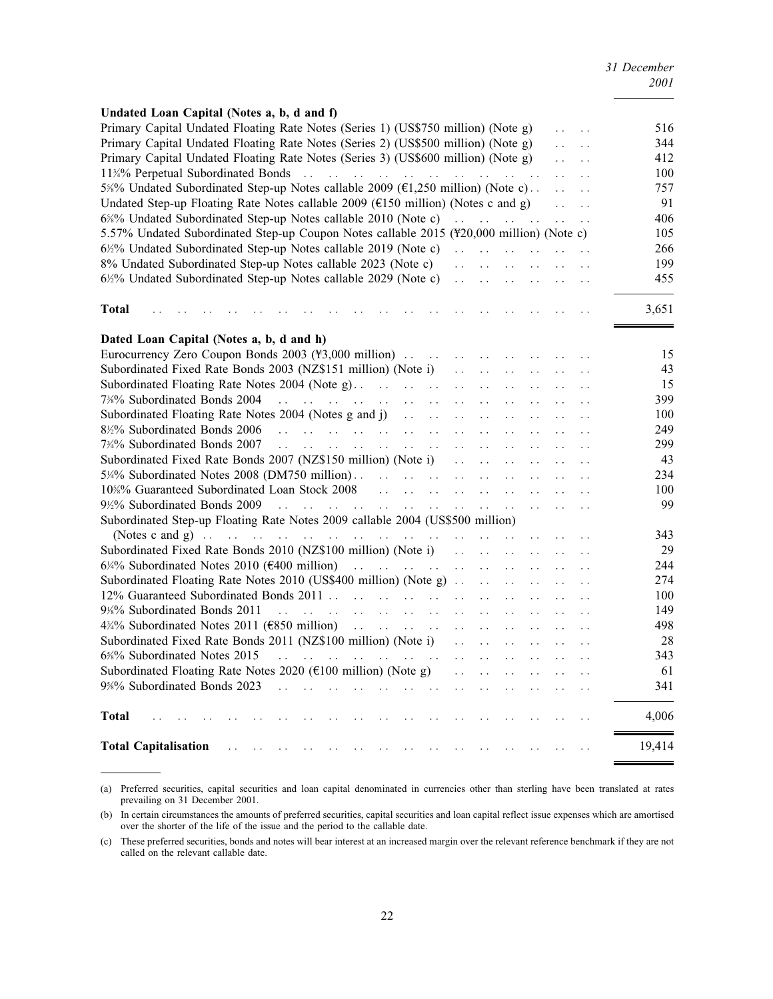| Undated Loan Capital (Notes a, b, d and f)                                                                                                                                                                                                                                     |                                                                          |                             |                                                    |                                                                  |                        |        |
|--------------------------------------------------------------------------------------------------------------------------------------------------------------------------------------------------------------------------------------------------------------------------------|--------------------------------------------------------------------------|-----------------------------|----------------------------------------------------|------------------------------------------------------------------|------------------------|--------|
| Primary Capital Undated Floating Rate Notes (Series 1) (US\$750 million) (Note g)                                                                                                                                                                                              |                                                                          |                             |                                                    | $\ddotsc$                                                        |                        | 516    |
| Primary Capital Undated Floating Rate Notes (Series 2) (US\$500 million) (Note g)                                                                                                                                                                                              |                                                                          |                             |                                                    | $\ddotsc$                                                        | $\ddot{\phantom{a}}$   | 344    |
| Primary Capital Undated Floating Rate Notes (Series 3) (US\$600 million) (Note g)                                                                                                                                                                                              |                                                                          |                             |                                                    | $\ddot{\phantom{a}}$                                             | $\ddotsc$              | 412    |
|                                                                                                                                                                                                                                                                                |                                                                          |                             |                                                    | $\ddot{\phantom{a}}$ .                                           | $\ddot{\phantom{a}}$   | 100    |
| 5%% Undated Subordinated Step-up Notes callable 2009 (€1,250 million) (Note c)                                                                                                                                                                                                 |                                                                          |                             |                                                    | $\ldots$ $\ldots$                                                |                        | 757    |
| Undated Step-up Floating Rate Notes callable 2009 ( $E150$ million) (Notes c and g)                                                                                                                                                                                            |                                                                          |                             |                                                    | $\mathbf{1}$ $\mathbf{2}$ $\mathbf{3}$ $\mathbf{4}$ $\mathbf{5}$ |                        | 91     |
|                                                                                                                                                                                                                                                                                |                                                                          |                             |                                                    | $\mathcal{L}(\mathcal{L})$ , and                                 |                        | 406    |
| 5.57% Undated Subordinated Step-up Coupon Notes callable 2015 (\f20,000 million) (Note c)                                                                                                                                                                                      |                                                                          |                             |                                                    |                                                                  |                        | 105    |
|                                                                                                                                                                                                                                                                                |                                                                          |                             |                                                    |                                                                  |                        | 266    |
| 8% Undated Subordinated Step-up Notes callable 2023 (Note c)                                                                                                                                                                                                                   | $\mathbf{r}$ is a set of $\mathbf{r}$                                    |                             | $\mathbf{r}$ . The state of the state $\mathbf{r}$ |                                                                  |                        | 199    |
| 6½% Undated Subordinated Step-up Notes callable 2029 (Note c)                                                                                                                                                                                                                  | and the state of the state of the                                        |                             |                                                    |                                                                  |                        | 455    |
|                                                                                                                                                                                                                                                                                |                                                                          |                             |                                                    |                                                                  |                        |        |
| Total                                                                                                                                                                                                                                                                          |                                                                          |                             |                                                    |                                                                  |                        | 3,651  |
|                                                                                                                                                                                                                                                                                |                                                                          |                             |                                                    |                                                                  |                        |        |
| Dated Loan Capital (Notes a, b, d and h)                                                                                                                                                                                                                                       |                                                                          |                             |                                                    |                                                                  |                        |        |
| Eurocurrency Zero Coupon Bonds 2003 ( $\frac{43,000}{10,000}$ million)                                                                                                                                                                                                         |                                                                          | $\ddot{\phantom{a}}$        | $\ddot{\phantom{a}}$                               |                                                                  |                        | 15     |
| Subordinated Fixed Rate Bonds 2003 (NZ\$151 million) (Note i)                                                                                                                                                                                                                  | $\mathbf{1}$ , and $\mathbf{1}$ , and $\mathbf{1}$                       | $\ddot{\phantom{a}}$        | $\ddot{\phantom{a}}$                               |                                                                  |                        | 43     |
| Subordinated Floating Rate Notes 2004 (Note g)                                                                                                                                                                                                                                 | $\mathbf{1}$ , $\mathbf{1}$ , $\mathbf{1}$ , $\mathbf{1}$ , $\mathbf{1}$ | $\ddot{\phantom{a}}$        | $\ddot{\phantom{a}}$ .                             | $\ddot{\phantom{a}}$ .                                           | $\ddot{\phantom{a}}$   | 15     |
| 7%% Subordinated Bonds 2004<br>and the second contract of the second second second second second second second second second second second second second second second second second second second second second second second second second second second se                  | $\mathcal{L}(\mathcal{L})$<br>$\sim 10$ .                                | $\ddot{\phantom{a}}$        | $\ddot{\phantom{a}}$                               |                                                                  | $\ddot{\phantom{a}}$   | 399    |
| Subordinated Floating Rate Notes 2004 (Notes g and j)                                                                                                                                                                                                                          | $\mathbf{1}$ , $\mathbf{1}$ , $\mathbf{1}$ , $\mathbf{1}$                | $\ddot{\phantom{a}}$        | $\ddot{\phantom{a}}$                               | $\ddot{\phantom{a}}$ .                                           | $\ddot{\phantom{a}}$   | 100    |
| 8½% Subordinated Bonds 2006<br>and the state of the state of the state                                                                                                                                                                                                         | $\mathbf{1}$ , $\mathbf{1}$ , $\mathbf{1}$                               | $\ddot{\phantom{a}}$        | $\ddot{\phantom{a}}$                               |                                                                  | $\ddot{\phantom{a}}$   | 249    |
| 734% Subordinated Bonds 2007<br>and the second contract of the second contract of the second contract of the second contract of the second contract of the second contract of the second contract of the second contract of the second contract of the second                  | $\mathbf{r}$ , $\mathbf{r}$<br>$\ddotsc$                                 | $\ddot{\phantom{a}}$        | $\ddot{\phantom{a}}$                               |                                                                  | $\ddot{\phantom{a}}$   | 299    |
| Subordinated Fixed Rate Bonds 2007 (NZ\$150 million) (Note i)                                                                                                                                                                                                                  | $\mathcal{L}(\mathcal{L})$<br>$\ddots$                                   | $\ddot{\phantom{a}}$        | $\ddot{\phantom{0}}$                               |                                                                  |                        | 43     |
|                                                                                                                                                                                                                                                                                | $\mathbf{1}$ , $\mathbf{1}$ , $\mathbf{1}$ , $\mathbf{1}$                | $\mathcal{L}(\mathcal{L})$  | $\ddot{\phantom{a}}$                               | $\sim$                                                           |                        | 234    |
| 10%% Guaranteed Subordinated Loan Stock 2008<br>and the contract of the contract of the contract of the contract of the contract of the contract of the contract of the contract of the contract of the contract of the contract of the contract of the contract of the contra |                                                                          | $\sim 10^{-10}$             | $\ddotsc$                                          | $\mathbf{1}$ . The set of $\mathbf{1}$                           |                        | 100    |
| 9½% Subordinated Bonds 2009<br>المتحادث والمتعارض والمتعارض والمتعارض والمتعارض والمتعارض                                                                                                                                                                                      |                                                                          | $\sim 10^7$                 | $\mathcal{L}(\mathcal{L})$ .                       | $\ddotsc$                                                        |                        | 99     |
| Subordinated Step-up Floating Rate Notes 2009 callable 2004 (US\$500 million)                                                                                                                                                                                                  |                                                                          |                             |                                                    |                                                                  |                        |        |
| (Notes c and g) $\ldots$ $\ldots$ $\ldots$ $\ldots$ $\ldots$ $\ldots$ $\ldots$ $\ldots$ $\ldots$ $\ldots$                                                                                                                                                                      |                                                                          |                             | $\ddot{\phantom{a}}$                               |                                                                  |                        | 343    |
|                                                                                                                                                                                                                                                                                |                                                                          |                             | $\sim$ $\sim$                                      | $\sim$ .                                                         | $\ddot{\phantom{a}}$ . | 29     |
|                                                                                                                                                                                                                                                                                |                                                                          | $\sim$ $\sim$               | $\ddot{\phantom{a}}$ .                             | $\ddot{\phantom{a}}$                                             |                        | 244    |
| Subordinated Floating Rate Notes 2010 (US\$400 million) (Note g)                                                                                                                                                                                                               |                                                                          | $\mathcal{L}(\mathcal{L})$  | $\ddot{\phantom{a}}$                               | $\ddot{\phantom{a}}$                                             | $\ddot{\phantom{a}}$   | 274    |
|                                                                                                                                                                                                                                                                                |                                                                          | $\sim$ $\sim$               | $\ddot{\phantom{a}}$ .                             |                                                                  | $\ddot{\phantom{a}}$   | 100    |
| 9%% Subordinated Bonds 2011<br>and the state of the state of the state of the                                                                                                                                                                                                  | $\mathbb{E}[\mathbf{z}^{\top}]=\mathbb{E}[\mathbf{z}^{\top}]$            | $\ddot{\phantom{a}}$        | $\ddot{\phantom{a}}$                               | $\ddot{\phantom{a}}$                                             | $\ddotsc$              | 149    |
| $4\frac{3}{4}\%$ Subordinated Notes 2011 (€850 million)                                                                                                                                                                                                                        | $\mathcal{L}(\mathcal{L})$ and $\mathcal{L}(\mathcal{L})$                | $\ddot{\phantom{a}}$        | $\ddot{\phantom{a}}$                               |                                                                  |                        | 498    |
| Subordinated Fixed Rate Bonds 2011 (NZ\$100 million) (Note i)                                                                                                                                                                                                                  | $\mathbf{1}$ , $\mathbf{1}$ , $\mathbf{1}$ , $\mathbf{1}$                | $\mathcal{L}(\mathcal{L})$  | $\ddot{\phantom{a}}$                               | $\ddotsc$                                                        | $\ddot{\phantom{a}}$   | 28     |
| 6%% Subordinated Notes 2015<br>and the state of the state of the state of                                                                                                                                                                                                      | $\mathbf{1}$ , and $\mathbf{1}$ , and $\mathbf{1}$                       | $\mathbf{1}$ , $\mathbf{1}$ | $\mathcal{L}(\mathcal{A})$ .                       | $\ddotsc$                                                        | $\ddot{\phantom{a}}$   | 343    |
| Subordinated Floating Rate Notes 2020 ( $E100$ million) (Note g)                                                                                                                                                                                                               | $\mathbf{1}$ . The set of $\mathbf{1}$                                   | $\ddot{\phantom{a}}$        | $\ddot{\phantom{a}}$                               | $\ddotsc$                                                        | $\ddotsc$              | 61     |
| 9%% Subordinated Bonds 2023<br>and the state of the state of the state                                                                                                                                                                                                         | $\mathbf{1}$ . The set of $\mathbf{1}$                                   | $\ddot{\phantom{a}}$        | $\ddot{\phantom{a}}$                               | $\ddot{\phantom{a}}$                                             |                        | 341    |
| Total                                                                                                                                                                                                                                                                          |                                                                          |                             |                                                    |                                                                  |                        | 4,006  |
|                                                                                                                                                                                                                                                                                |                                                                          |                             |                                                    |                                                                  |                        |        |
| <b>Total Capitalisation</b>                                                                                                                                                                                                                                                    | $\ddotsc$                                                                |                             |                                                    |                                                                  |                        | 19,414 |

<sup>(</sup>a) Preferred securities, capital securities and loan capital denominated in currencies other than sterling have been translated at rates prevailing on 31 December 2001.

<sup>(</sup>b) In certain circumstances the amounts of preferred securities, capital securities and loan capital reflect issue expenses which are amortised over the shorter of the life of the issue and the period to the callable date.

<sup>(</sup>c) These preferred securities, bonds and notes will bear interest at an increased margin over the relevant reference benchmark if they are not called on the relevant callable date.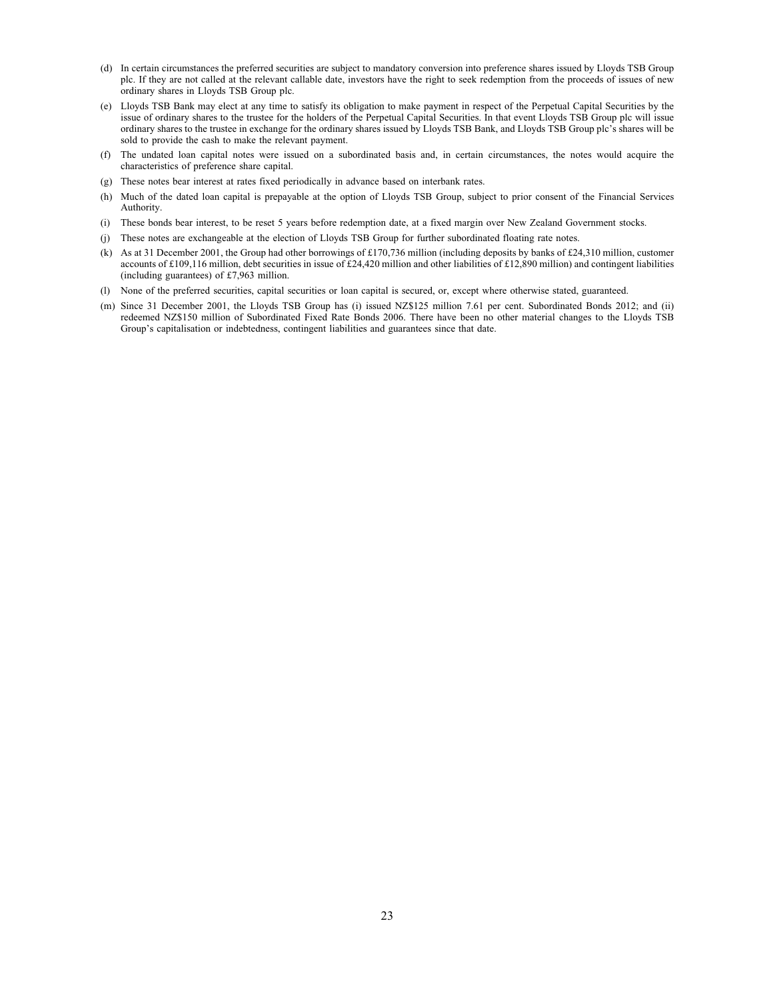- (d) In certain circumstances the preferred securities are subject to mandatory conversion into preference shares issued by Lloyds TSB Group plc. If they are not called at the relevant callable date, investors have the right to seek redemption from the proceeds of issues of new ordinary shares in Lloyds TSB Group plc.
- (e) Lloyds TSB Bank may elect at any time to satisfy its obligation to make payment in respect of the Perpetual Capital Securities by the issue of ordinary shares to the trustee for the holders of the Perpetual Capital Securities. In that event Lloyds TSB Group plc will issue ordinary shares to the trustee in exchange for the ordinary shares issued by Lloyds TSB Bank, and Lloyds TSB Group plc's shares will be sold to provide the cash to make the relevant payment.
- (f) The undated loan capital notes were issued on a subordinated basis and, in certain circumstances, the notes would acquire the characteristics of preference share capital.
- (g) These notes bear interest at rates fixed periodically in advance based on interbank rates.
- (h) Much of the dated loan capital is prepayable at the option of Lloyds TSB Group, subject to prior consent of the Financial Services Authority.
- (i) These bonds bear interest, to be reset 5 years before redemption date, at a fixed margin over New Zealand Government stocks.
- (j) These notes are exchangeable at the election of Lloyds TSB Group for further subordinated floating rate notes.
- (k) As at 31 December 2001, the Group had other borrowings of £170,736 million (including deposits by banks of £24,310 million, customer accounts of £109,116 million, debt securities in issue of £24,420 million and other liabilities of £12,890 million) and contingent liabilities (including guarantees) of £7,963 million.
- (l) None of the preferred securities, capital securities or loan capital is secured, or, except where otherwise stated, guaranteed.
- (m) Since 31 December 2001, the Lloyds TSB Group has (i) issued NZ\$125 million 7.61 per cent. Subordinated Bonds 2012; and (ii) redeemed NZ\$150 million of Subordinated Fixed Rate Bonds 2006. There have been no other material changes to the Lloyds TSB Group's capitalisation or indebtedness, contingent liabilities and guarantees since that date.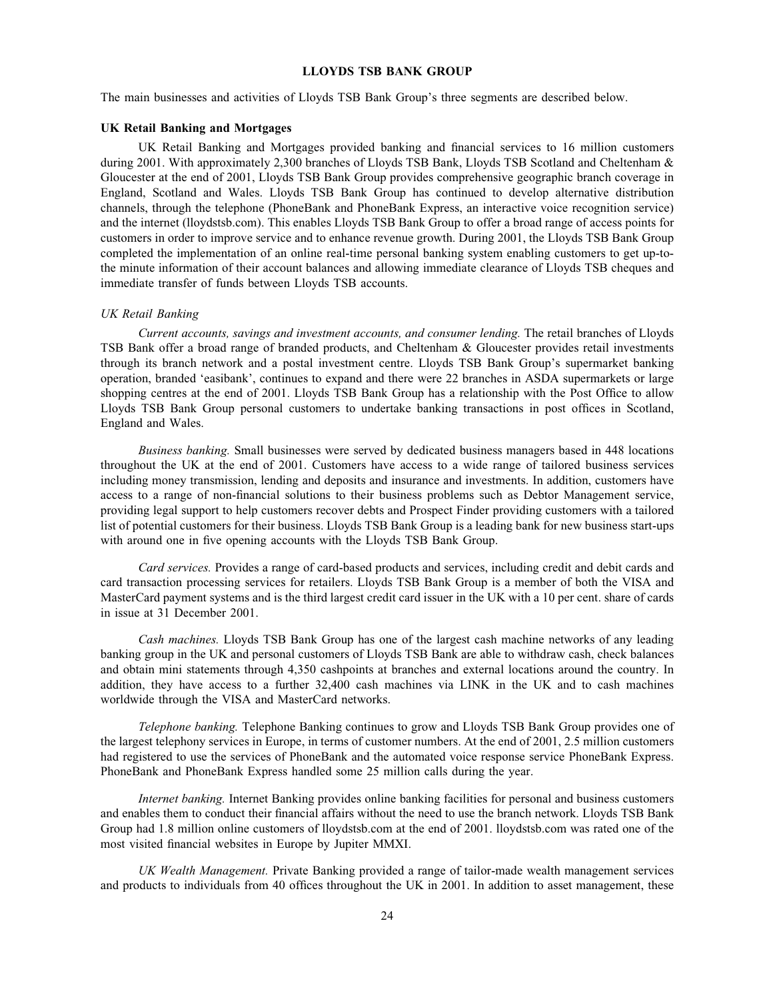# LLOYDS TSB BANK GROUP

The main businesses and activities of Lloyds TSB Bank Group's three segments are described below.

#### UK Retail Banking and Mortgages

UK Retail Banking and Mortgages provided banking and financial services to 16 million customers during 2001. With approximately 2,300 branches of Lloyds TSB Bank, Lloyds TSB Scotland and Cheltenham & Gloucester at the end of 2001, Lloyds TSB Bank Group provides comprehensive geographic branch coverage in England, Scotland and Wales. Lloyds TSB Bank Group has continued to develop alternative distribution channels, through the telephone (PhoneBank and PhoneBank Express, an interactive voice recognition service) and the internet (lloydstsb.com). This enables Lloyds TSB Bank Group to offer a broad range of access points for customers in order to improve service and to enhance revenue growth. During 2001, the Lloyds TSB Bank Group completed the implementation of an online real-time personal banking system enabling customers to get up-tothe minute information of their account balances and allowing immediate clearance of Lloyds TSB cheques and immediate transfer of funds between Lloyds TSB accounts.

#### UK Retail Banking

Current accounts, savings and investment accounts, and consumer lending. The retail branches of Lloyds TSB Bank offer a broad range of branded products, and Cheltenham & Gloucester provides retail investments through its branch network and a postal investment centre. Lloyds TSB Bank Group's supermarket banking operation, branded 'easibank', continues to expand and there were 22 branches in ASDA supermarkets or large shopping centres at the end of 2001. Lloyds TSB Bank Group has a relationship with the Post Office to allow Lloyds TSB Bank Group personal customers to undertake banking transactions in post offices in Scotland, England and Wales.

Business banking. Small businesses were served by dedicated business managers based in 448 locations throughout the UK at the end of 2001. Customers have access to a wide range of tailored business services including money transmission, lending and deposits and insurance and investments. In addition, customers have access to a range of non-financial solutions to their business problems such as Debtor Management service, providing legal support to help customers recover debts and Prospect Finder providing customers with a tailored list of potential customers for their business. Lloyds TSB Bank Group is a leading bank for new business start-ups with around one in five opening accounts with the Lloyds TSB Bank Group.

Card services. Provides a range of card-based products and services, including credit and debit cards and card transaction processing services for retailers. Lloyds TSB Bank Group is a member of both the VISA and MasterCard payment systems and is the third largest credit card issuer in the UK with a 10 per cent. share of cards in issue at 31 December 2001.

Cash machines. Lloyds TSB Bank Group has one of the largest cash machine networks of any leading banking group in the UK and personal customers of Lloyds TSB Bank are able to withdraw cash, check balances and obtain mini statements through 4,350 cashpoints at branches and external locations around the country. In addition, they have access to a further 32,400 cash machines via LINK in the UK and to cash machines worldwide through the VISA and MasterCard networks.

Telephone banking. Telephone Banking continues to grow and Lloyds TSB Bank Group provides one of the largest telephony services in Europe, in terms of customer numbers. At the end of 2001, 2.5 million customers had registered to use the services of PhoneBank and the automated voice response service PhoneBank Express. PhoneBank and PhoneBank Express handled some 25 million calls during the year.

Internet banking. Internet Banking provides online banking facilities for personal and business customers and enables them to conduct their financial affairs without the need to use the branch network. Lloyds TSB Bank Group had 1.8 million online customers of lloydstsb.com at the end of 2001. lloydstsb.com was rated one of the most visited financial websites in Europe by Jupiter MMXI.

UK Wealth Management. Private Banking provided a range of tailor-made wealth management services and products to individuals from 40 offices throughout the UK in 2001. In addition to asset management, these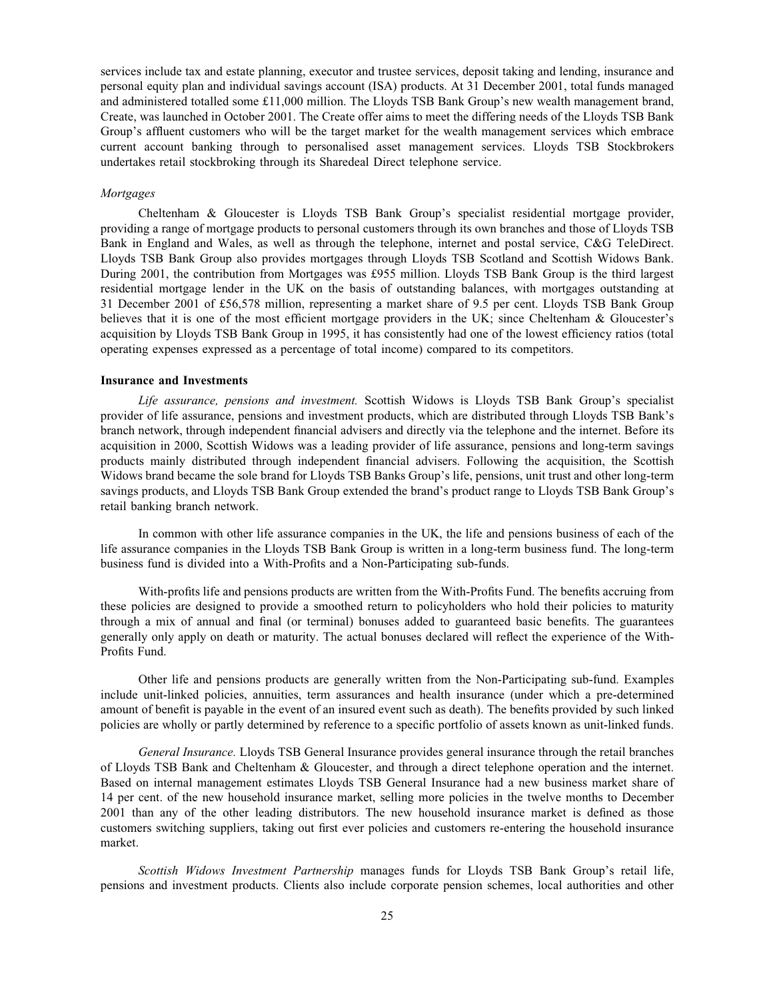services include tax and estate planning, executor and trustee services, deposit taking and lending, insurance and personal equity plan and individual savings account (ISA) products. At 31 December 2001, total funds managed and administered totalled some £11,000 million. The Lloyds TSB Bank Group's new wealth management brand, Create, was launched in October 2001. The Create offer aims to meet the differing needs of the Lloyds TSB Bank Group's affluent customers who will be the target market for the wealth management services which embrace current account banking through to personalised asset management services. Lloyds TSB Stockbrokers undertakes retail stockbroking through its Sharedeal Direct telephone service.

#### **Mortgages**

Cheltenham & Gloucester is Lloyds TSB Bank Group's specialist residential mortgage provider, providing a range of mortgage products to personal customers through its own branches and those of Lloyds TSB Bank in England and Wales, as well as through the telephone, internet and postal service, C&G TeleDirect. Lloyds TSB Bank Group also provides mortgages through Lloyds TSB Scotland and Scottish Widows Bank. During 2001, the contribution from Mortgages was £955 million. Lloyds TSB Bank Group is the third largest residential mortgage lender in the UK on the basis of outstanding balances, with mortgages outstanding at 31 December 2001 of £56,578 million, representing a market share of 9.5 per cent. Lloyds TSB Bank Group believes that it is one of the most efficient mortgage providers in the UK; since Cheltenham & Gloucester's acquisition by Lloyds TSB Bank Group in 1995, it has consistently had one of the lowest efficiency ratios (total operating expenses expressed as a percentage of total income) compared to its competitors.

#### Insurance and Investments

Life assurance, pensions and investment. Scottish Widows is Lloyds TSB Bank Group's specialist provider of life assurance, pensions and investment products, which are distributed through Lloyds TSB Bank's branch network, through independent financial advisers and directly via the telephone and the internet. Before its acquisition in 2000, Scottish Widows was a leading provider of life assurance, pensions and long-term savings products mainly distributed through independent financial advisers. Following the acquisition, the Scottish Widows brand became the sole brand for Lloyds TSB Banks Group's life, pensions, unit trust and other long-term savings products, and Lloyds TSB Bank Group extended the brand's product range to Lloyds TSB Bank Group's retail banking branch network.

In common with other life assurance companies in the UK, the life and pensions business of each of the life assurance companies in the Lloyds TSB Bank Group is written in a long-term business fund. The long-term business fund is divided into a With-Profits and a Non-Participating sub-funds.

With-profits life and pensions products are written from the With-Profits Fund. The benefits accruing from these policies are designed to provide a smoothed return to policyholders who hold their policies to maturity through a mix of annual and final (or terminal) bonuses added to guaranteed basic benefits. The guarantees generally only apply on death or maturity. The actual bonuses declared will reflect the experience of the With-Profits Fund.

Other life and pensions products are generally written from the Non-Participating sub-fund. Examples include unit-linked policies, annuities, term assurances and health insurance (under which a pre-determined amount of benefit is payable in the event of an insured event such as death). The benefits provided by such linked policies are wholly or partly determined by reference to a specific portfolio of assets known as unit-linked funds.

General Insurance. Lloyds TSB General Insurance provides general insurance through the retail branches of Lloyds TSB Bank and Cheltenham & Gloucester, and through a direct telephone operation and the internet. Based on internal management estimates Lloyds TSB General Insurance had a new business market share of 14 per cent. of the new household insurance market, selling more policies in the twelve months to December 2001 than any of the other leading distributors. The new household insurance market is defined as those customers switching suppliers, taking out first ever policies and customers re-entering the household insurance market.

Scottish Widows Investment Partnership manages funds for Lloyds TSB Bank Group's retail life, pensions and investment products. Clients also include corporate pension schemes, local authorities and other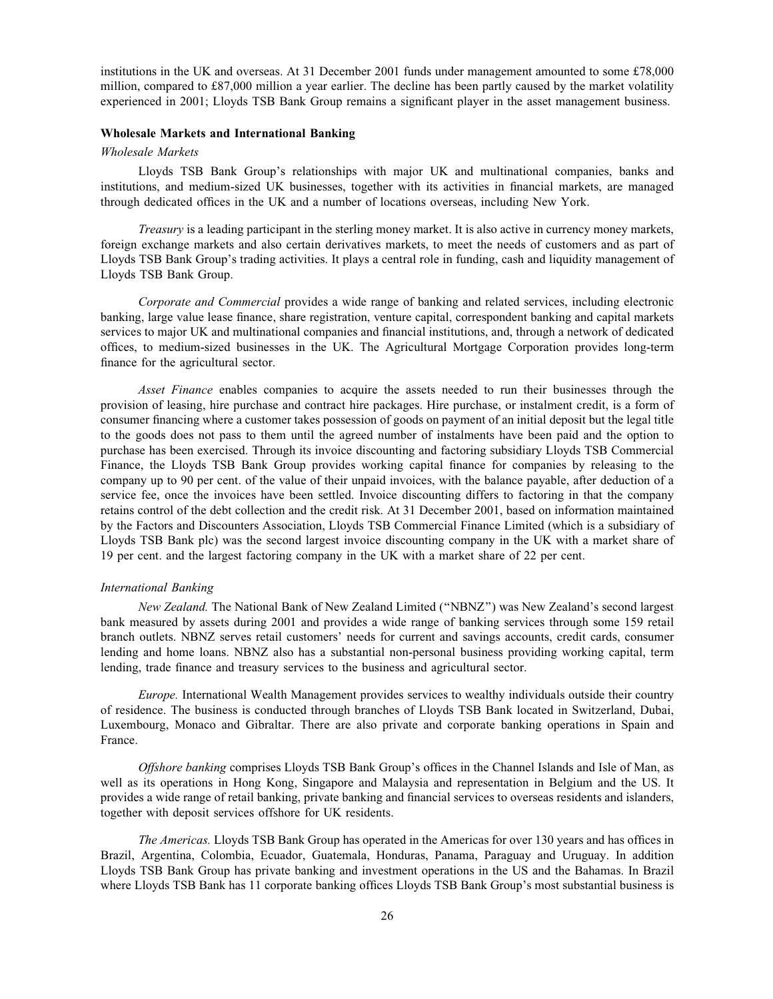institutions in the UK and overseas. At 31 December 2001 funds under management amounted to some £78,000 million, compared to £87,000 million a year earlier. The decline has been partly caused by the market volatility experienced in 2001; Lloyds TSB Bank Group remains a significant player in the asset management business.

#### Wholesale Markets and International Banking

#### Wholesale Markets

Lloyds TSB Bank Group's relationships with major UK and multinational companies, banks and institutions, and medium-sized UK businesses, together with its activities in financial markets, are managed through dedicated offices in the UK and a number of locations overseas, including New York.

Treasury is a leading participant in the sterling money market. It is also active in currency money markets, foreign exchange markets and also certain derivatives markets, to meet the needs of customers and as part of Lloyds TSB Bank Group's trading activities. It plays a central role in funding, cash and liquidity management of Lloyds TSB Bank Group.

Corporate and Commercial provides a wide range of banking and related services, including electronic banking, large value lease finance, share registration, venture capital, correspondent banking and capital markets services to major UK and multinational companies and financial institutions, and, through a network of dedicated offices, to medium-sized businesses in the UK. The Agricultural Mortgage Corporation provides long-term finance for the agricultural sector.

Asset Finance enables companies to acquire the assets needed to run their businesses through the provision of leasing, hire purchase and contract hire packages. Hire purchase, or instalment credit, is a form of consumer financing where a customer takes possession of goods on payment of an initial deposit but the legal title to the goods does not pass to them until the agreed number of instalments have been paid and the option to purchase has been exercised. Through its invoice discounting and factoring subsidiary Lloyds TSB Commercial Finance, the Lloyds TSB Bank Group provides working capital finance for companies by releasing to the company up to 90 per cent. of the value of their unpaid invoices, with the balance payable, after deduction of a service fee, once the invoices have been settled. Invoice discounting differs to factoring in that the company retains control of the debt collection and the credit risk. At 31 December 2001, based on information maintained by the Factors and Discounters Association, Lloyds TSB Commercial Finance Limited (which is a subsidiary of Lloyds TSB Bank plc) was the second largest invoice discounting company in the UK with a market share of 19 per cent. and the largest factoring company in the UK with a market share of 22 per cent.

#### International Banking

New Zealand. The National Bank of New Zealand Limited (''NBNZ'') was New Zealand's second largest bank measured by assets during 2001 and provides a wide range of banking services through some 159 retail branch outlets. NBNZ serves retail customers' needs for current and savings accounts, credit cards, consumer lending and home loans. NBNZ also has a substantial non-personal business providing working capital, term lending, trade finance and treasury services to the business and agricultural sector.

Europe. International Wealth Management provides services to wealthy individuals outside their country of residence. The business is conducted through branches of Lloyds TSB Bank located in Switzerland, Dubai, Luxembourg, Monaco and Gibraltar. There are also private and corporate banking operations in Spain and France.

Offshore banking comprises Lloyds TSB Bank Group's offices in the Channel Islands and Isle of Man, as well as its operations in Hong Kong, Singapore and Malaysia and representation in Belgium and the US. It provides a wide range of retail banking, private banking and financial services to overseas residents and islanders, together with deposit services offshore for UK residents.

The Americas. Lloyds TSB Bank Group has operated in the Americas for over 130 years and has offices in Brazil, Argentina, Colombia, Ecuador, Guatemala, Honduras, Panama, Paraguay and Uruguay. In addition Lloyds TSB Bank Group has private banking and investment operations in the US and the Bahamas. In Brazil where Lloyds TSB Bank has 11 corporate banking offices Lloyds TSB Bank Group's most substantial business is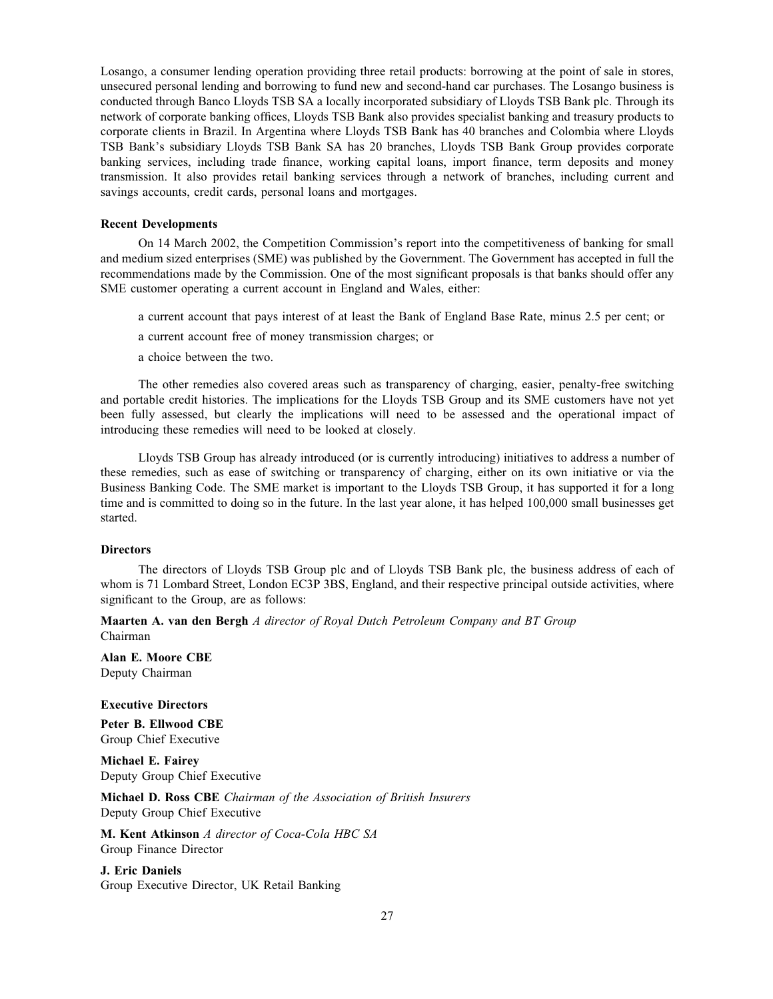Losango, a consumer lending operation providing three retail products: borrowing at the point of sale in stores, unsecured personal lending and borrowing to fund new and second-hand car purchases. The Losango business is conducted through Banco Lloyds TSB SA a locally incorporated subsidiary of Lloyds TSB Bank plc. Through its network of corporate banking offices, Lloyds TSB Bank also provides specialist banking and treasury products to corporate clients in Brazil. In Argentina where Lloyds TSB Bank has 40 branches and Colombia where Lloyds TSB Bank's subsidiary Lloyds TSB Bank SA has 20 branches, Lloyds TSB Bank Group provides corporate banking services, including trade finance, working capital loans, import finance, term deposits and money transmission. It also provides retail banking services through a network of branches, including current and savings accounts, credit cards, personal loans and mortgages.

#### Recent Developments

On 14 March 2002, the Competition Commission's report into the competitiveness of banking for small and medium sized enterprises (SME) was published by the Government. The Government has accepted in full the recommendations made by the Commission. One of the most significant proposals is that banks should offer any SME customer operating a current account in England and Wales, either:

- a current account that pays interest of at least the Bank of England Base Rate, minus 2.5 per cent; or
- a current account free of money transmission charges; or
- a choice between the two.

The other remedies also covered areas such as transparency of charging, easier, penalty-free switching and portable credit histories. The implications for the Lloyds TSB Group and its SME customers have not yet been fully assessed, but clearly the implications will need to be assessed and the operational impact of introducing these remedies will need to be looked at closely.

Lloyds TSB Group has already introduced (or is currently introducing) initiatives to address a number of these remedies, such as ease of switching or transparency of charging, either on its own initiative or via the Business Banking Code. The SME market is important to the Lloyds TSB Group, it has supported it for a long time and is committed to doing so in the future. In the last year alone, it has helped 100,000 small businesses get started.

#### **Directors**

The directors of Lloyds TSB Group plc and of Lloyds TSB Bank plc, the business address of each of whom is 71 Lombard Street, London EC3P 3BS, England, and their respective principal outside activities, where significant to the Group, are as follows:

**Maarten A. van den Bergh** A director of Royal Dutch Petroleum Company and BT Group Chairman

Alan E. Moore CBE Deputy Chairman

Executive Directors

Peter B. Ellwood CBE Group Chief Executive

Michael E. Fairey Deputy Group Chief Executive

Michael D. Ross CBE Chairman of the Association of British Insurers Deputy Group Chief Executive

M. Kent Atkinson A director of Coca-Cola HBC SA Group Finance Director

J. Eric Daniels Group Executive Director, UK Retail Banking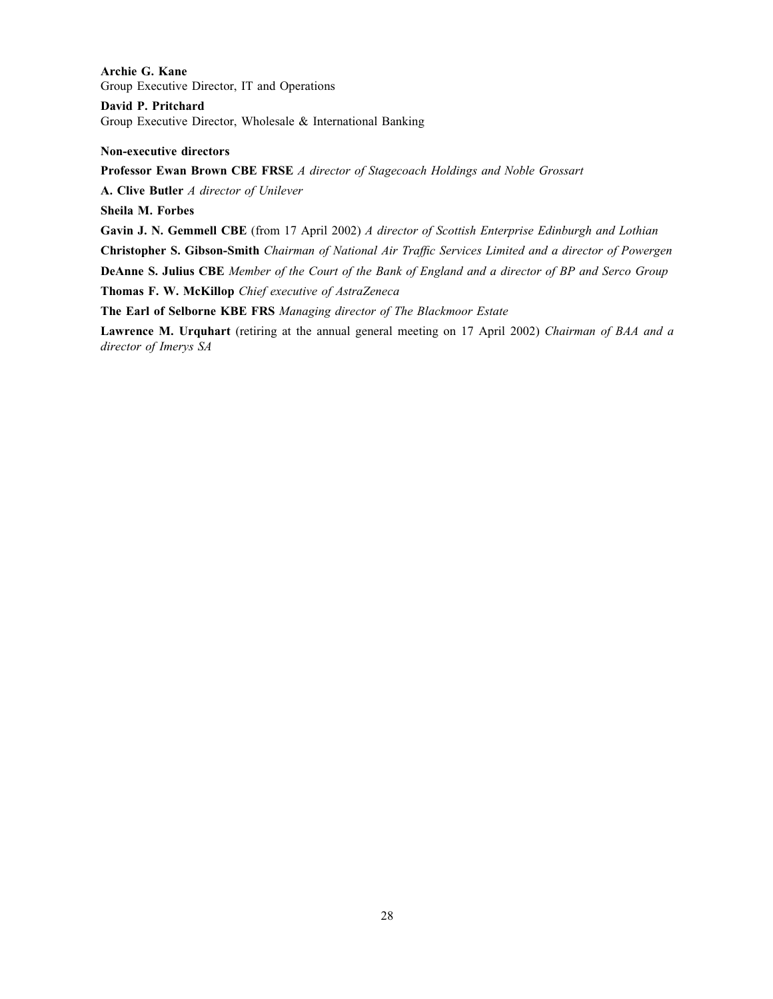Archie G. Kane Group Executive Director, IT and Operations

David P. Pritchard Group Executive Director, Wholesale & International Banking

# Non-executive directors

Professor Ewan Brown CBE FRSE A director of Stagecoach Holdings and Noble Grossart

A. Clive Butler A director of Unilever

Sheila M. Forbes

Gavin J. N. Gemmell CBE (from 17 April 2002) A director of Scottish Enterprise Edinburgh and Lothian

Christopher S. Gibson-Smith Chairman of National Air Traffic Services Limited and a director of Powergen

DeAnne S. Julius CBE Member of the Court of the Bank of England and a director of BP and Serco Group Thomas F. W. McKillop Chief executive of AstraZeneca

The Earl of Selborne KBE FRS Managing director of The Blackmoor Estate

Lawrence M. Urquhart (retiring at the annual general meeting on 17 April 2002) Chairman of BAA and a director of Imerys SA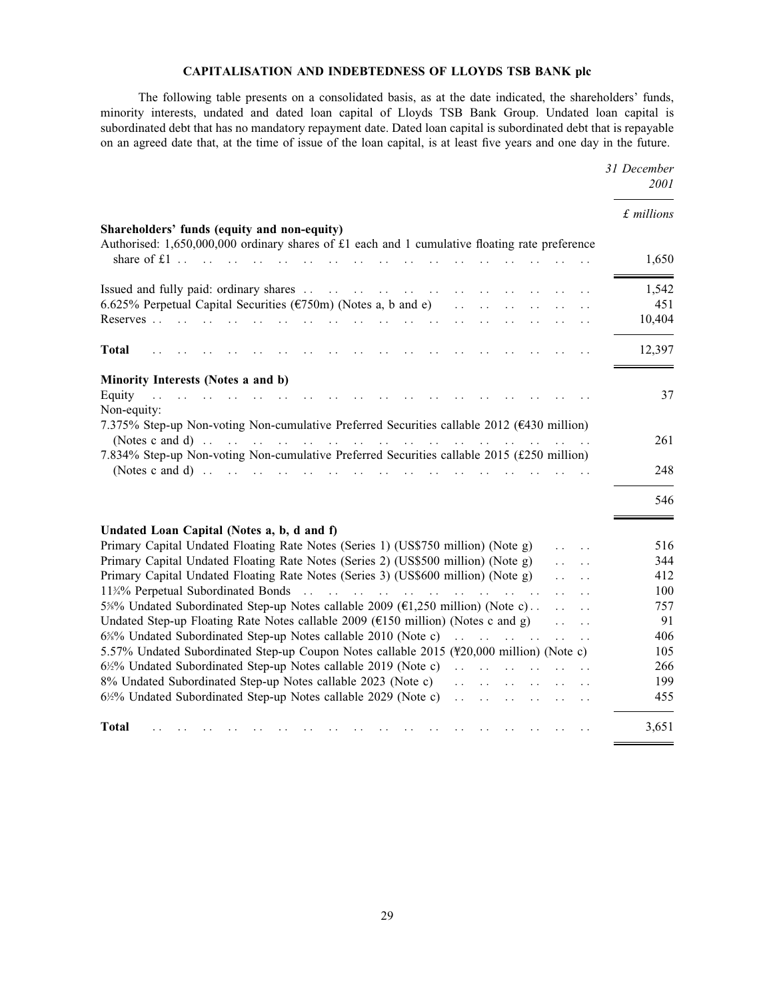# CAPITALISATION AND INDEBTEDNESS OF LLOYDS TSB BANK plc

The following table presents on a consolidated basis, as at the date indicated, the shareholders' funds, minority interests, undated and dated loan capital of Lloyds TSB Bank Group. Undated loan capital is subordinated debt that has no mandatory repayment date. Dated loan capital is subordinated debt that is repayable on an agreed date that, at the time of issue of the loan capital, is at least five years and one day in the future.

|                                                                                                                                                                                                                                                                                                                                                                                                                                             | 31 December<br>2001             |
|---------------------------------------------------------------------------------------------------------------------------------------------------------------------------------------------------------------------------------------------------------------------------------------------------------------------------------------------------------------------------------------------------------------------------------------------|---------------------------------|
|                                                                                                                                                                                                                                                                                                                                                                                                                                             | $£$ millions                    |
| Shareholders' funds (equity and non-equity)<br>Authorised: 1,650,000,000 ordinary shares of £1 each and 1 cumulative floating rate preference<br>and the state<br>$\sim$<br>$\ddot{\phantom{a}}$<br>and the state                                                                                                                                                                                                                           | 1,650                           |
| $\mathbf{1}$ , and $\mathbf{1}$ , and $\mathbf{1}$<br>6.625% Perpetual Capital Securities ( $\epsilon$ 750m) (Notes a, b and e)<br>$\mathbf{L}$<br>$\sim$ $\sim$ $\sim$<br>$\sim$                                                                                                                                                                                                                                                           | 1,542<br>451<br>10,404          |
| <b>Total</b>                                                                                                                                                                                                                                                                                                                                                                                                                                | 12,397                          |
| Minority Interests (Notes a and b)<br>Equity<br>Non-equity:                                                                                                                                                                                                                                                                                                                                                                                 | 37                              |
| 7.375% Step-up Non-voting Non-cumulative Preferred Securities callable 2012 (€430 million)<br>(Notes c and d) $\ldots$ $\ldots$ $\ldots$ $\ldots$ $\ldots$ $\ldots$ $\ldots$ $\ldots$<br>7.834% Step-up Non-voting Non-cumulative Preferred Securities callable 2015 (£250 million)                                                                                                                                                         | 261                             |
| (Notes c and d) $\ldots$ $\ldots$ $\ldots$ $\ldots$ $\ldots$ $\ldots$ $\ldots$                                                                                                                                                                                                                                                                                                                                                              | 248<br>546                      |
| Undated Loan Capital (Notes a, b, d and f)<br>Primary Capital Undated Floating Rate Notes (Series 1) (US\$750 million) (Note g)<br>Primary Capital Undated Floating Rate Notes (Series 2) (US\$500 million) (Note g)<br>Primary Capital Undated Floating Rate Notes (Series 3) (US\$600 million) (Note g)                                                                                                                                   | 516<br>344<br>412               |
| 5%% Undated Subordinated Step-up Notes callable 2009 (€1,250 million) (Note c)<br>Undated Step-up Floating Rate Notes callable 2009 ( $E150$ million) (Notes c and g)<br>$\mathbf{L}$<br>$\ddot{\phantom{a}}$                                                                                                                                                                                                                               | 100<br>757<br>91                |
| $\sim$ $\sim$<br>$\ddotsc$<br>5.57% Undated Subordinated Step-up Coupon Notes callable 2015 (\f20,000 million) (Note c)<br>6½% Undated Subordinated Step-up Notes callable 2019 (Note c)<br>and the state of the state of the state of the state of the state of the state of the state of the state of the<br>8% Undated Subordinated Step-up Notes callable 2023 (Note c)<br>and the company<br>$\sim$ $\sim$ $\sim$ $\sim$ $\sim$ $\sim$ | 406<br>105<br>266<br>199<br>455 |
| 6½% Undated Subordinated Step-up Notes callable 2029 (Note c)<br>$\mathbf{r}$ . The state of $\mathbf{r}$ is the state of $\mathbf{r}$<br>Total                                                                                                                                                                                                                                                                                             | 3,651                           |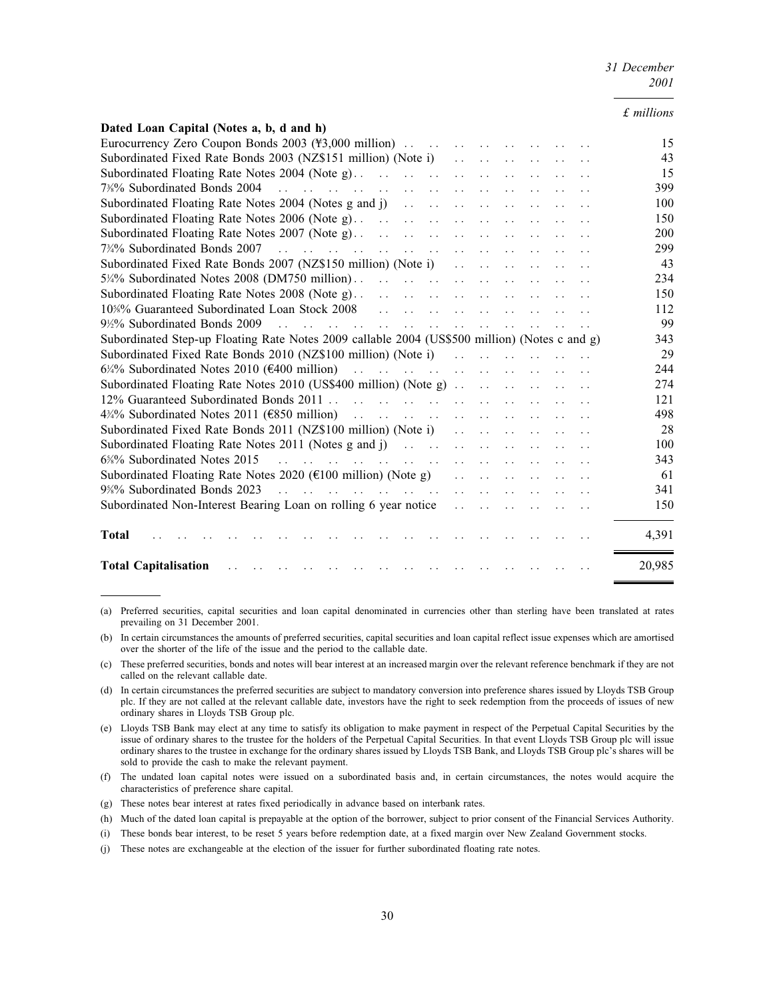31 December 2001

#### £ millions

| Dated Loan Capital (Notes a, b, d and h)                                                                           |        |
|--------------------------------------------------------------------------------------------------------------------|--------|
|                                                                                                                    | 15     |
|                                                                                                                    | 43     |
|                                                                                                                    | 15     |
|                                                                                                                    | 399    |
|                                                                                                                    | 100    |
|                                                                                                                    | 150    |
| Subordinated Floating Rate Notes 2007 (Note g). $\ldots$ . $\ldots$ . $\ldots$ . $\ldots$ . $\ldots$ . $\ldots$    | 200    |
|                                                                                                                    | 299    |
|                                                                                                                    | 43     |
|                                                                                                                    | 234    |
|                                                                                                                    | 150    |
|                                                                                                                    | 112    |
| $9\frac{1}{2}\%$ Subordinated Bonds 2009                                                                           | 99     |
| Subordinated Step-up Floating Rate Notes 2009 callable 2004 (US\$500 million) (Notes c and g)                      | 343    |
|                                                                                                                    | 29     |
|                                                                                                                    | 244    |
|                                                                                                                    | 274    |
|                                                                                                                    | 121    |
|                                                                                                                    | 498    |
|                                                                                                                    | 28     |
|                                                                                                                    | 100    |
| $6\frac{1}{2}$ % Subordinated Notes 2015<br>المتواصلة والمتواصلة والمتواصلة والمتواصلة والمتواصلة والمتواصلة       | 343    |
|                                                                                                                    | 61     |
|                                                                                                                    | 341    |
|                                                                                                                    | 150    |
| <b>Total</b>                                                                                                       | 4,391  |
| and the contract of the contract of the contract of the contract of<br><b>Total Capitalisation</b><br>$\mathbf{L}$ | 20,985 |

<sup>(</sup>a) Preferred securities, capital securities and loan capital denominated in currencies other than sterling have been translated at rates prevailing on 31 December 2001.

- (g) These notes bear interest at rates fixed periodically in advance based on interbank rates.
- (h) Much of the dated loan capital is prepayable at the option of the borrower, subject to prior consent of the Financial Services Authority.
- (i) These bonds bear interest, to be reset 5 years before redemption date, at a fixed margin over New Zealand Government stocks.
- (j) These notes are exchangeable at the election of the issuer for further subordinated floating rate notes.

<sup>(</sup>b) In certain circumstances the amounts of preferred securities, capital securities and loan capital reflect issue expenses which are amortised over the shorter of the life of the issue and the period to the callable date.

<sup>(</sup>c) These preferred securities, bonds and notes will bear interest at an increased margin over the relevant reference benchmark if they are not called on the relevant callable date.

<sup>(</sup>d) In certain circumstances the preferred securities are subject to mandatory conversion into preference shares issued by Lloyds TSB Group plc. If they are not called at the relevant callable date, investors have the right to seek redemption from the proceeds of issues of new ordinary shares in Lloyds TSB Group plc.

<sup>(</sup>e) Lloyds TSB Bank may elect at any time to satisfy its obligation to make payment in respect of the Perpetual Capital Securities by the issue of ordinary shares to the trustee for the holders of the Perpetual Capital Securities. In that event Lloyds TSB Group plc will issue ordinary shares to the trustee in exchange for the ordinary shares issued by Lloyds TSB Bank, and Lloyds TSB Group plc's shares will be sold to provide the cash to make the relevant payment.

<sup>(</sup>f) The undated loan capital notes were issued on a subordinated basis and, in certain circumstances, the notes would acquire the characteristics of preference share capital.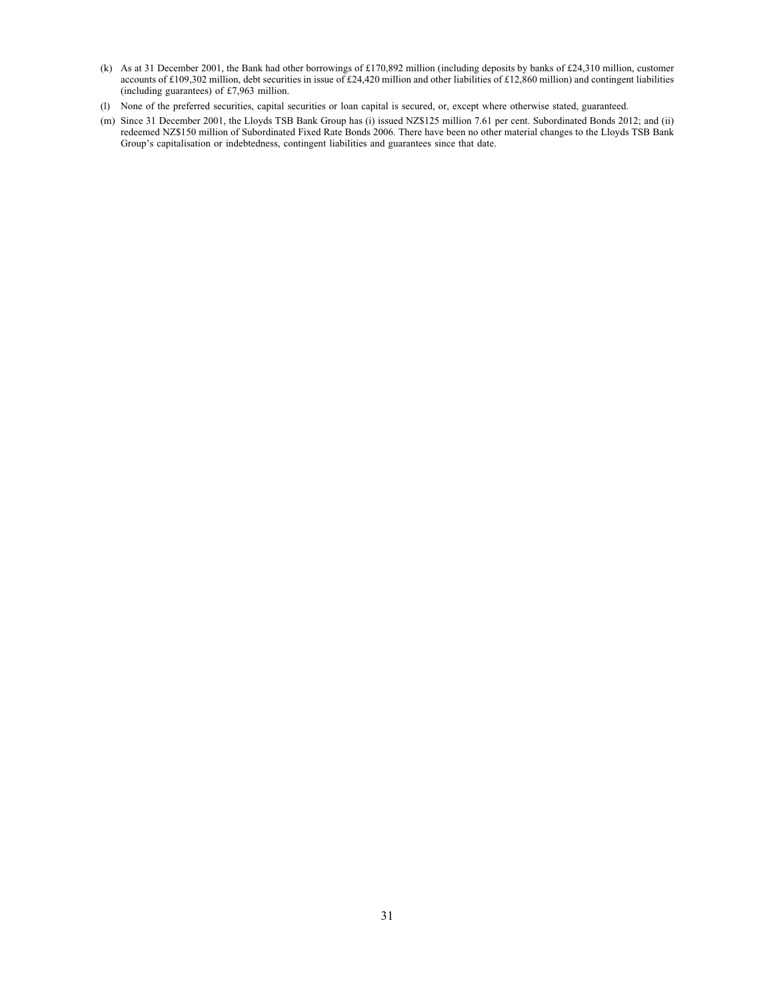- (k) As at 31 December 2001, the Bank had other borrowings of £170,892 million (including deposits by banks of £24,310 million, customer accounts of £109,302 million, debt securities in issue of £24,420 million and other liabilities of £12,860 million) and contingent liabilities (including guarantees) of £7,963 million.
- (l) None of the preferred securities, capital securities or loan capital is secured, or, except where otherwise stated, guaranteed.
- (m) Since 31 December 2001, the Lloyds TSB Bank Group has (i) issued NZ\$125 million 7.61 per cent. Subordinated Bonds 2012; and (ii) redeemed NZ\$150 million of Subordinated Fixed Rate Bonds 2006. There have been no other material changes to the Lloyds TSB Bank Group's capitalisation or indebtedness, contingent liabilities and guarantees since that date.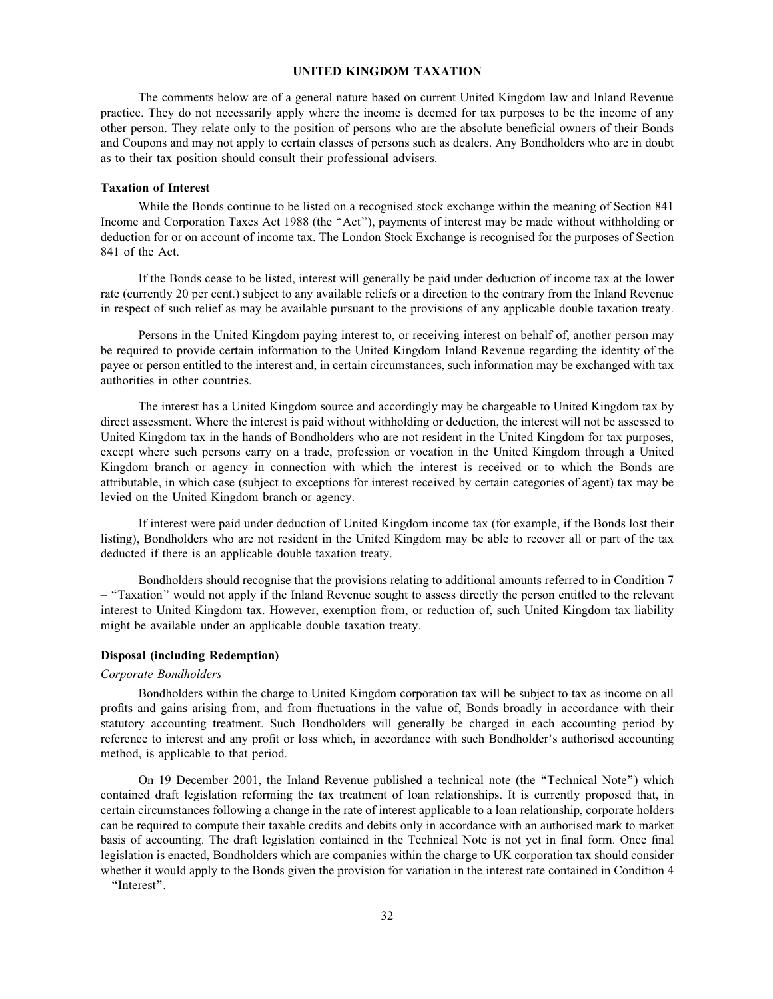# UNITED KINGDOM TAXATION

The comments below are of a general nature based on current United Kingdom law and Inland Revenue practice. They do not necessarily apply where the income is deemed for tax purposes to be the income of any other person. They relate only to the position of persons who are the absolute beneficial owners of their Bonds and Coupons and may not apply to certain classes of persons such as dealers. Any Bondholders who are in doubt as to their tax position should consult their professional advisers.

#### Taxation of Interest

While the Bonds continue to be listed on a recognised stock exchange within the meaning of Section 841 Income and Corporation Taxes Act 1988 (the "Act"), payments of interest may be made without withholding or deduction for or on account of income tax. The London Stock Exchange is recognised for the purposes of Section 841 of the Act.

If the Bonds cease to be listed, interest will generally be paid under deduction of income tax at the lower rate (currently 20 per cent.) subject to any available reliefs or a direction to the contrary from the Inland Revenue in respect of such relief as may be available pursuant to the provisions of any applicable double taxation treaty.

Persons in the United Kingdom paying interest to, or receiving interest on behalf of, another person may be required to provide certain information to the United Kingdom Inland Revenue regarding the identity of the payee or person entitled to the interest and, in certain circumstances, such information may be exchanged with tax authorities in other countries.

The interest has a United Kingdom source and accordingly may be chargeable to United Kingdom tax by direct assessment. Where the interest is paid without withholding or deduction, the interest will not be assessed to United Kingdom tax in the hands of Bondholders who are not resident in the United Kingdom for tax purposes, except where such persons carry on a trade, profession or vocation in the United Kingdom through a United Kingdom branch or agency in connection with which the interest is received or to which the Bonds are attributable, in which case (subject to exceptions for interest received by certain categories of agent) tax may be levied on the United Kingdom branch or agency.

If interest were paid under deduction of United Kingdom income tax (for example, if the Bonds lost their listing), Bondholders who are not resident in the United Kingdom may be able to recover all or part of the tax deducted if there is an applicable double taxation treaty.

Bondholders should recognise that the provisions relating to additional amounts referred to in Condition 7 – ''Taxation'' would not apply if the Inland Revenue sought to assess directly the person entitled to the relevant interest to United Kingdom tax. However, exemption from, or reduction of, such United Kingdom tax liability might be available under an applicable double taxation treaty.

#### Disposal (including Redemption)

#### Corporate Bondholders

Bondholders within the charge to United Kingdom corporation tax will be subject to tax as income on all profits and gains arising from, and from fluctuations in the value of, Bonds broadly in accordance with their statutory accounting treatment. Such Bondholders will generally be charged in each accounting period by reference to interest and any profit or loss which, in accordance with such Bondholder's authorised accounting method, is applicable to that period.

On 19 December 2001, the Inland Revenue published a technical note (the ''Technical Note'') which contained draft legislation reforming the tax treatment of loan relationships. It is currently proposed that, in certain circumstances following a change in the rate of interest applicable to a loan relationship, corporate holders can be required to compute their taxable credits and debits only in accordance with an authorised mark to market basis of accounting. The draft legislation contained in the Technical Note is not yet in final form. Once final legislation is enacted, Bondholders which are companies within the charge to UK corporation tax should consider whether it would apply to the Bonds given the provision for variation in the interest rate contained in Condition 4 – ''Interest''.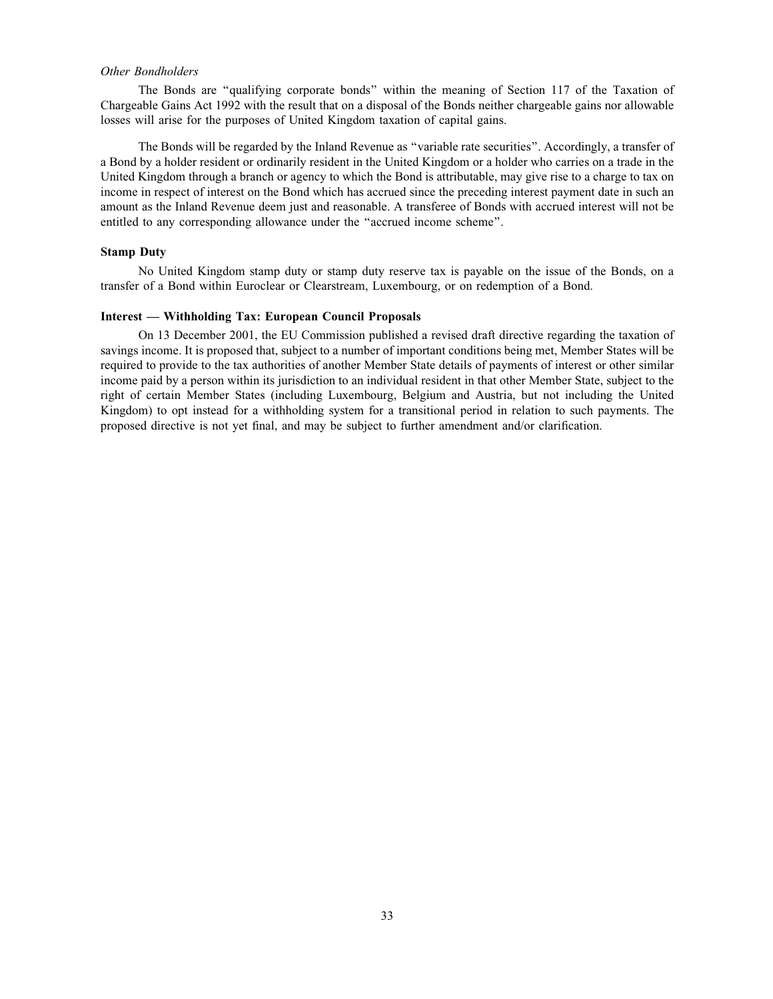#### Other Bondholders

The Bonds are ''qualifying corporate bonds'' within the meaning of Section 117 of the Taxation of Chargeable Gains Act 1992 with the result that on a disposal of the Bonds neither chargeable gains nor allowable losses will arise for the purposes of United Kingdom taxation of capital gains.

The Bonds will be regarded by the Inland Revenue as ''variable rate securities''. Accordingly, a transfer of a Bond by a holder resident or ordinarily resident in the United Kingdom or a holder who carries on a trade in the United Kingdom through a branch or agency to which the Bond is attributable, may give rise to a charge to tax on income in respect of interest on the Bond which has accrued since the preceding interest payment date in such an amount as the Inland Revenue deem just and reasonable. A transferee of Bonds with accrued interest will not be entitled to any corresponding allowance under the ''accrued income scheme''.

#### Stamp Duty

No United Kingdom stamp duty or stamp duty reserve tax is payable on the issue of the Bonds, on a transfer of a Bond within Euroclear or Clearstream, Luxembourg, or on redemption of a Bond.

#### Interest — Withholding Tax: European Council Proposals

On 13 December 2001, the EU Commission published a revised draft directive regarding the taxation of savings income. It is proposed that, subject to a number of important conditions being met, Member States will be required to provide to the tax authorities of another Member State details of payments of interest or other similar income paid by a person within its jurisdiction to an individual resident in that other Member State, subject to the right of certain Member States (including Luxembourg, Belgium and Austria, but not including the United Kingdom) to opt instead for a withholding system for a transitional period in relation to such payments. The proposed directive is not yet final, and may be subject to further amendment and/or clarification.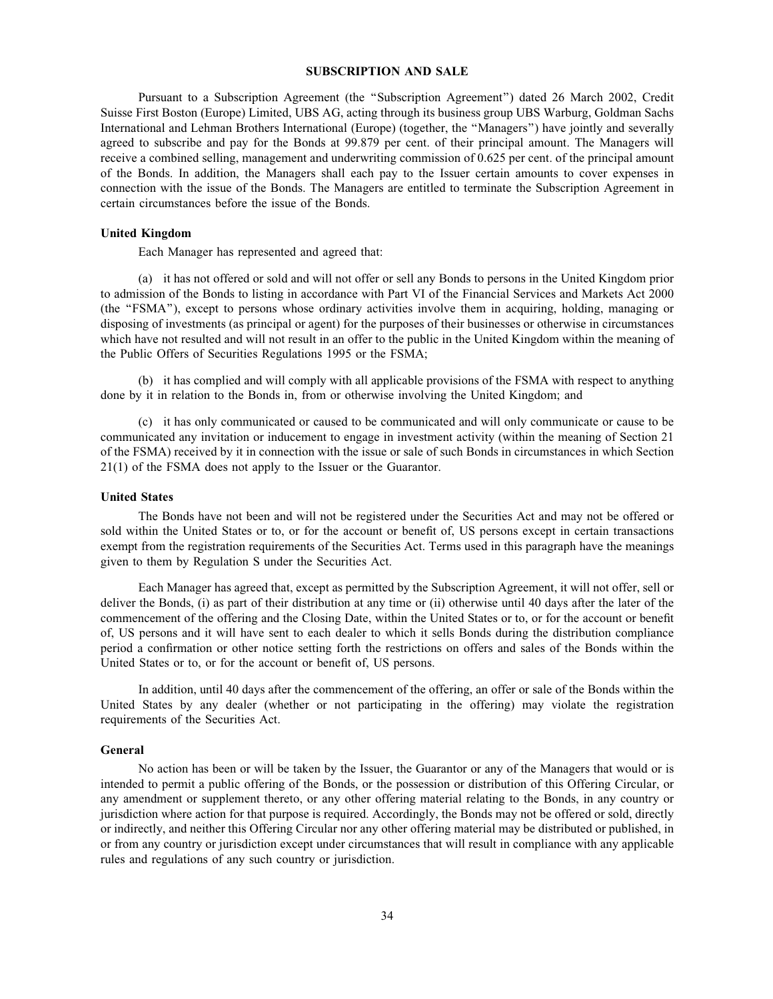# SUBSCRIPTION AND SALE

Pursuant to a Subscription Agreement (the ''Subscription Agreement'') dated 26 March 2002, Credit Suisse First Boston (Europe) Limited, UBS AG, acting through its business group UBS Warburg, Goldman Sachs International and Lehman Brothers International (Europe) (together, the ''Managers'') have jointly and severally agreed to subscribe and pay for the Bonds at 99.879 per cent. of their principal amount. The Managers will receive a combined selling, management and underwriting commission of 0.625 per cent. of the principal amount of the Bonds. In addition, the Managers shall each pay to the Issuer certain amounts to cover expenses in connection with the issue of the Bonds. The Managers are entitled to terminate the Subscription Agreement in certain circumstances before the issue of the Bonds.

#### United Kingdom

Each Manager has represented and agreed that:

(a) it has not offered or sold and will not offer or sell any Bonds to persons in the United Kingdom prior to admission of the Bonds to listing in accordance with Part VI of the Financial Services and Markets Act 2000 (the ''FSMA''), except to persons whose ordinary activities involve them in acquiring, holding, managing or disposing of investments (as principal or agent) for the purposes of their businesses or otherwise in circumstances which have not resulted and will not result in an offer to the public in the United Kingdom within the meaning of the Public Offers of Securities Regulations 1995 or the FSMA;

(b) it has complied and will comply with all applicable provisions of the FSMA with respect to anything done by it in relation to the Bonds in, from or otherwise involving the United Kingdom; and

(c) it has only communicated or caused to be communicated and will only communicate or cause to be communicated any invitation or inducement to engage in investment activity (within the meaning of Section 21 of the FSMA) received by it in connection with the issue or sale of such Bonds in circumstances in which Section 21(1) of the FSMA does not apply to the Issuer or the Guarantor.

### United States

The Bonds have not been and will not be registered under the Securities Act and may not be offered or sold within the United States or to, or for the account or benefit of, US persons except in certain transactions exempt from the registration requirements of the Securities Act. Terms used in this paragraph have the meanings given to them by Regulation S under the Securities Act.

Each Manager has agreed that, except as permitted by the Subscription Agreement, it will not offer, sell or deliver the Bonds, (i) as part of their distribution at any time or (ii) otherwise until 40 days after the later of the commencement of the offering and the Closing Date, within the United States or to, or for the account or benefit of, US persons and it will have sent to each dealer to which it sells Bonds during the distribution compliance period a confirmation or other notice setting forth the restrictions on offers and sales of the Bonds within the United States or to, or for the account or benefit of, US persons.

In addition, until 40 days after the commencement of the offering, an offer or sale of the Bonds within the United States by any dealer (whether or not participating in the offering) may violate the registration requirements of the Securities Act.

#### General

No action has been or will be taken by the Issuer, the Guarantor or any of the Managers that would or is intended to permit a public offering of the Bonds, or the possession or distribution of this Offering Circular, or any amendment or supplement thereto, or any other offering material relating to the Bonds, in any country or jurisdiction where action for that purpose is required. Accordingly, the Bonds may not be offered or sold, directly or indirectly, and neither this Offering Circular nor any other offering material may be distributed or published, in or from any country or jurisdiction except under circumstances that will result in compliance with any applicable rules and regulations of any such country or jurisdiction.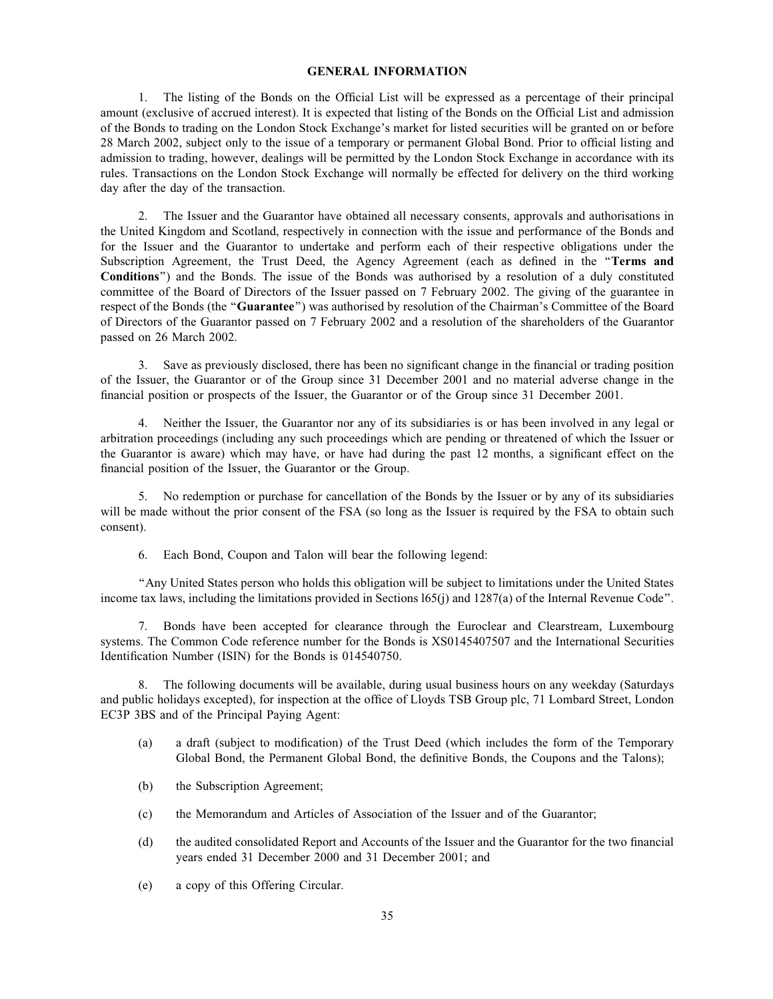# GENERAL INFORMATION

1. The listing of the Bonds on the Official List will be expressed as a percentage of their principal amount (exclusive of accrued interest). It is expected that listing of the Bonds on the Official List and admission of the Bonds to trading on the London Stock Exchange's market for listed securities will be granted on or before 28 March 2002, subject only to the issue of a temporary or permanent Global Bond. Prior to official listing and admission to trading, however, dealings will be permitted by the London Stock Exchange in accordance with its rules. Transactions on the London Stock Exchange will normally be effected for delivery on the third working day after the day of the transaction.

2. The Issuer and the Guarantor have obtained all necessary consents, approvals and authorisations in the United Kingdom and Scotland, respectively in connection with the issue and performance of the Bonds and for the Issuer and the Guarantor to undertake and perform each of their respective obligations under the Subscription Agreement, the Trust Deed, the Agency Agreement (each as defined in the ''Terms and Conditions'') and the Bonds. The issue of the Bonds was authorised by a resolution of a duly constituted committee of the Board of Directors of the Issuer passed on 7 February 2002. The giving of the guarantee in respect of the Bonds (the "Guarantee") was authorised by resolution of the Chairman's Committee of the Board of Directors of the Guarantor passed on 7 February 2002 and a resolution of the shareholders of the Guarantor passed on 26 March 2002.

3. Save as previously disclosed, there has been no significant change in the financial or trading position of the Issuer, the Guarantor or of the Group since 31 December 2001 and no material adverse change in the financial position or prospects of the Issuer, the Guarantor or of the Group since 31 December 2001.

4. Neither the Issuer, the Guarantor nor any of its subsidiaries is or has been involved in any legal or arbitration proceedings (including any such proceedings which are pending or threatened of which the Issuer or the Guarantor is aware) which may have, or have had during the past 12 months, a significant effect on the financial position of the Issuer, the Guarantor or the Group.

5. No redemption or purchase for cancellation of the Bonds by the Issuer or by any of its subsidiaries will be made without the prior consent of the FSA (so long as the Issuer is required by the FSA to obtain such consent).

6. Each Bond, Coupon and Talon will bear the following legend:

''Any United States person who holds this obligation will be subject to limitations under the United States income tax laws, including the limitations provided in Sections l65(j) and 1287(a) of the Internal Revenue Code''.

7. Bonds have been accepted for clearance through the Euroclear and Clearstream, Luxembourg systems. The Common Code reference number for the Bonds is XS0145407507 and the International Securities Identification Number (ISIN) for the Bonds is 014540750.

8. The following documents will be available, during usual business hours on any weekday (Saturdays and public holidays excepted), for inspection at the office of Lloyds TSB Group plc, 71 Lombard Street, London EC3P 3BS and of the Principal Paying Agent:

- (a) a draft (subject to modification) of the Trust Deed (which includes the form of the Temporary Global Bond, the Permanent Global Bond, the definitive Bonds, the Coupons and the Talons);
- (b) the Subscription Agreement;
- (c) the Memorandum and Articles of Association of the Issuer and of the Guarantor;
- (d) the audited consolidated Report and Accounts of the Issuer and the Guarantor for the two financial years ended 31 December 2000 and 31 December 2001; and
- (e) a copy of this Offering Circular.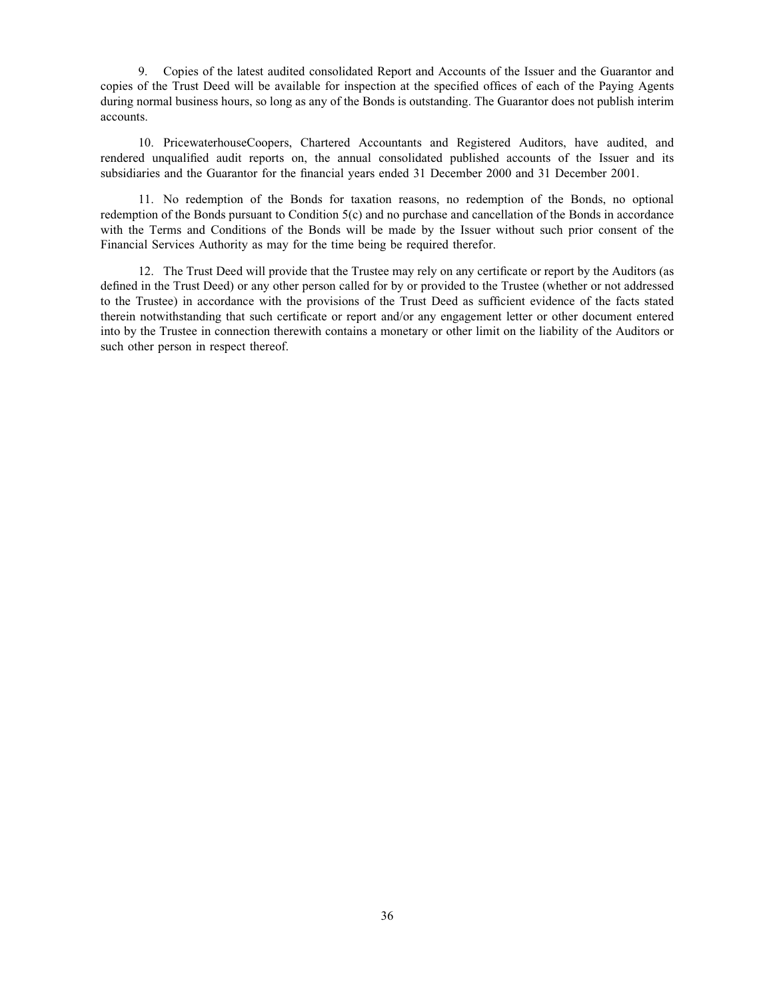9. Copies of the latest audited consolidated Report and Accounts of the Issuer and the Guarantor and copies of the Trust Deed will be available for inspection at the specified offices of each of the Paying Agents during normal business hours, so long as any of the Bonds is outstanding. The Guarantor does not publish interim accounts.

10. PricewaterhouseCoopers, Chartered Accountants and Registered Auditors, have audited, and rendered unqualified audit reports on, the annual consolidated published accounts of the Issuer and its subsidiaries and the Guarantor for the financial years ended 31 December 2000 and 31 December 2001.

11. No redemption of the Bonds for taxation reasons, no redemption of the Bonds, no optional redemption of the Bonds pursuant to Condition 5(c) and no purchase and cancellation of the Bonds in accordance with the Terms and Conditions of the Bonds will be made by the Issuer without such prior consent of the Financial Services Authority as may for the time being be required therefor.

12. The Trust Deed will provide that the Trustee may rely on any certificate or report by the Auditors (as defined in the Trust Deed) or any other person called for by or provided to the Trustee (whether or not addressed to the Trustee) in accordance with the provisions of the Trust Deed as sufficient evidence of the facts stated therein notwithstanding that such certificate or report and/or any engagement letter or other document entered into by the Trustee in connection therewith contains a monetary or other limit on the liability of the Auditors or such other person in respect thereof.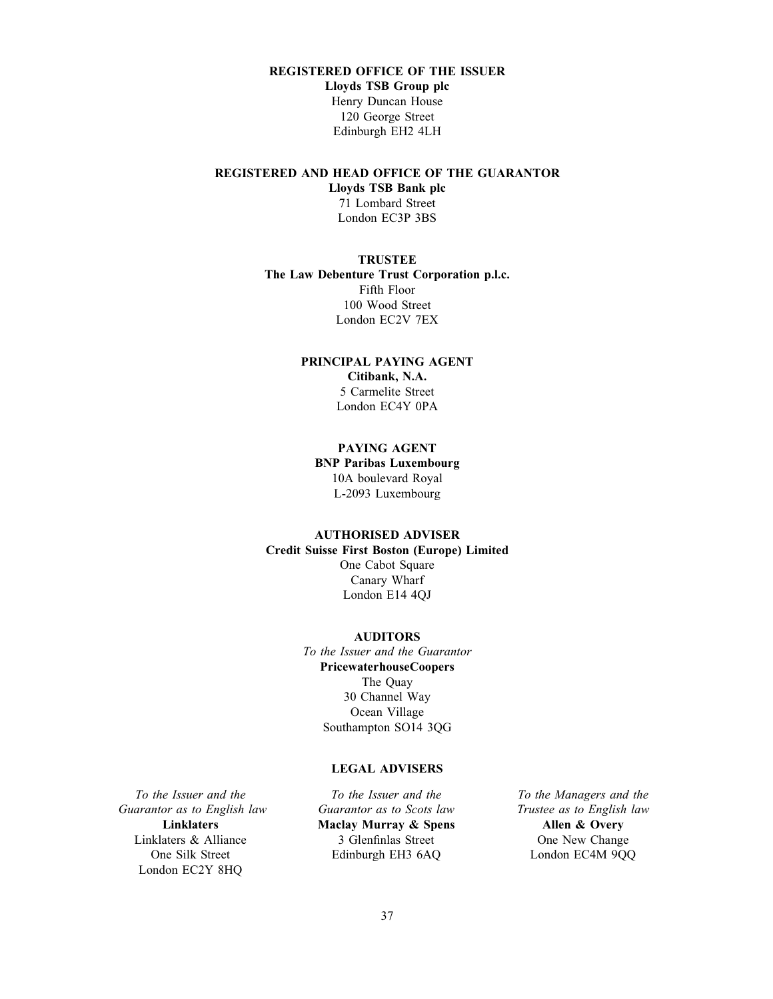# REGISTERED OFFICE OF THE ISSUER

Lloyds TSB Group plc Henry Duncan House 120 George Street Edinburgh EH2 4LH

# REGISTERED AND HEAD OFFICE OF THE GUARANTOR

Lloyds TSB Bank plc 71 Lombard Street London EC3P 3BS

#### **TRUSTEE**

The Law Debenture Trust Corporation p.l.c. Fifth Floor 100 Wood Street London EC2V 7EX

# PRINCIPAL PAYING AGENT Citibank, N.A. 5 Carmelite Street

London EC4Y 0PA

# PAYING AGENT

BNP Paribas Luxembourg 10A boulevard Royal L-2093 Luxembourg

# AUTHORISED ADVISER

Credit Suisse First Boston (Europe) Limited One Cabot Square Canary Wharf London E14 4QJ

#### AUDITORS

To the Issuer and the Guarantor PricewaterhouseCoopers The Quay 30 Channel Way Ocean Village Southampton SO14 3QG

# LEGAL ADVISERS

To the Issuer and the Guarantor as to English law Linklaters Linklaters & Alliance One Silk Street London EC2Y 8HQ

To the Issuer and the Guarantor as to Scots law Maclay Murray & Spens 3 Glenfinlas Street Edinburgh EH3 6AQ

To the Managers and the Trustee as to English law Allen & Overy One New Change London EC4M 9QQ